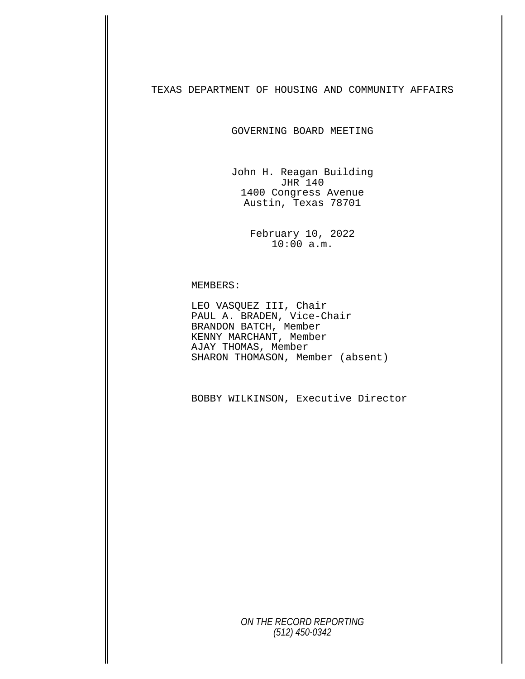TEXAS DEPARTMENT OF HOUSING AND COMMUNITY AFFAIRS

GOVERNING BOARD MEETING

John H. Reagan Building JHR 140 1400 Congress Avenue Austin, Texas 78701

> February 10, 2022 10:00 a.m.

MEMBERS:<br>LEO VASQUEZ III, Chair<br>PAUL A. BRADEN, Vice-Chair BRANDON BATCH, Member KENNY MARCHANT, Member AJAY THOMAS, Member SHARON THOMASON, Member (absent)

BOBBY WILKINSON, Executive Director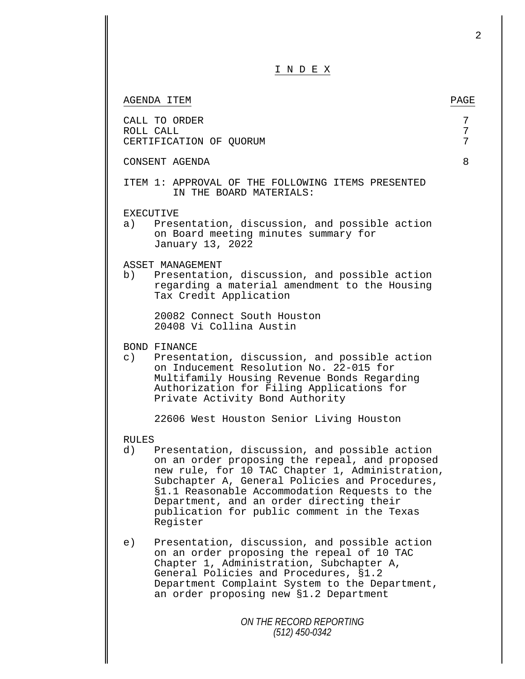| INDEX                                                                                                                                                                                                                                                                                                                                                                              |             |
|------------------------------------------------------------------------------------------------------------------------------------------------------------------------------------------------------------------------------------------------------------------------------------------------------------------------------------------------------------------------------------|-------------|
| AGENDA ITEM                                                                                                                                                                                                                                                                                                                                                                        | PAGE        |
| CALL TO ORDER<br>ROLL CALL<br>CERTIFICATION OF QUORUM                                                                                                                                                                                                                                                                                                                              | 7<br>7<br>7 |
| CONSENT AGENDA                                                                                                                                                                                                                                                                                                                                                                     | 8           |
| ITEM 1: APPROVAL OF THE FOLLOWING ITEMS PRESENTED<br>IN THE BOARD MATERIALS:                                                                                                                                                                                                                                                                                                       |             |
| <b>EXECUTIVE</b><br>Presentation, discussion, and possible action<br>a)<br>on Board meeting minutes summary for<br>January 13, 2022                                                                                                                                                                                                                                                |             |
| ASSET MANAGEMENT<br>Presentation, discussion, and possible action<br>b)<br>regarding a material amendment to the Housing<br>Tax Credit Application                                                                                                                                                                                                                                 |             |
| 20082 Connect South Houston<br>20408 Vi Collina Austin                                                                                                                                                                                                                                                                                                                             |             |
| BOND FINANCE<br>Presentation, discussion, and possible action<br>$\circ$ )<br>on Inducement Resolution No. 22-015 for<br>Multifamily Housing Revenue Bonds Regarding<br>Authorization for Filing Applications for<br>Private Activity Bond Authority                                                                                                                               |             |
| 22606 West Houston Senior Living Houston                                                                                                                                                                                                                                                                                                                                           |             |
| <b>RULES</b><br>Presentation, discussion, and possible action<br>d)<br>on an order proposing the repeal, and proposed<br>new rule, for 10 TAC Chapter 1, Administration,<br>Subchapter A, General Policies and Procedures,<br>§1.1 Reasonable Accommodation Requests to the<br>Department, and an order directing their<br>publication for public comment in the Texas<br>Register |             |
| Presentation, discussion, and possible action<br>e)<br>on an order proposing the repeal of 10 TAC<br>Chapter 1, Administration, Subchapter A,<br>General Policies and Procedures, §1.2<br>Department Complaint System to the Department,<br>an order proposing new \$1.2 Department                                                                                                |             |
| ON THE RECORD REPORTING<br>$(512)$ 450-0342                                                                                                                                                                                                                                                                                                                                        |             |

 $\mathbf l$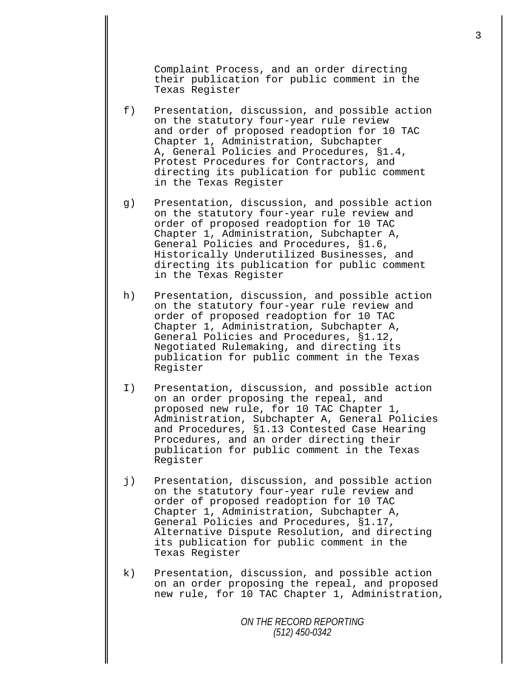Complaint Process, and an order directing their publication for public comment in the Texas Register

- f) Presentation, discussion, and possible action on the statutory four-year rule review and order of proposed readoption for 10 TAC Chapter 1, Administration, Subchapter A, General Policies and Procedures, §1.4, Protest Procedures for Contractors, and directing its publication for public comment in the Texas Register
- g) Presentation, discussion, and possible action on the statutory four-year rule review and order of proposed readoption for 10 TAC Chapter 1, Administration, Subchapter A, General Policies and Procedures, §1.6, Historically Underutilized Businesses, and directing its publication for public comment in the Texas Register
- h) Presentation, discussion, and possible action on the statutory four-year rule review and order of proposed readoption for 10 TAC Chapter 1, Administration, Subchapter A, General Policies and Procedures, §1.12, Negotiated Rulemaking, and directing its publication for public comment in the Texas Register
- I) Presentation, discussion, and possible action on an order proposing the repeal, and proposed new rule, for 10 TAC Chapter 1, Administration, Subchapter A, General Policies and Procedures, §1.13 Contested Case Hearing Procedures, and an order directing their publication for public comment in the Texas Register
- j) Presentation, discussion, and possible action on the statutory four-year rule review and order of proposed readoption for 10 TAC Chapter 1, Administration, Subchapter A, General Policies and Procedures, §1.17, Alternative Dispute Resolution, and directing its publication for public comment in the Texas Register
- k) Presentation, discussion, and possible action on an order proposing the repeal, and proposed new rule, for 10 TAC Chapter 1, Administration,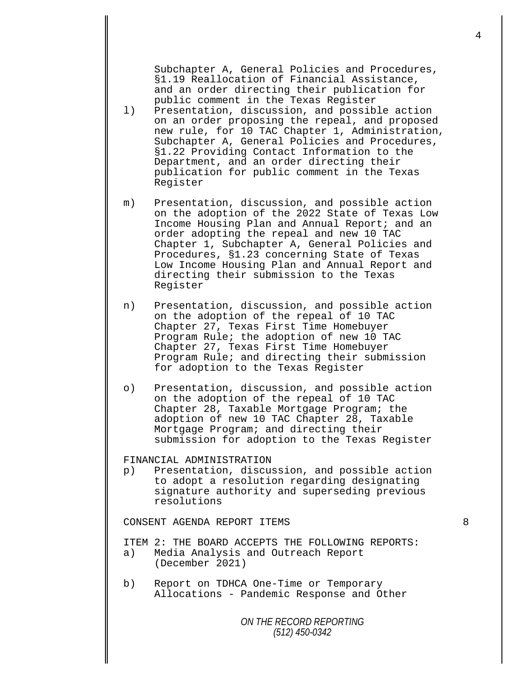Subchapter A, General Policies and Procedures, §1.19 Reallocation of Financial Assistance, and an order directing their publication for public comment in the Texas Register

- l) Presentation, discussion, and possible action on an order proposing the repeal, and proposed new rule, for 10 TAC Chapter 1, Administration, Subchapter A, General Policies and Procedures, §1.22 Providing Contact Information to the Department, and an order directing their publication for public comment in the Texas Register
- m) Presentation, discussion, and possible action on the adoption of the 2022 State of Texas Low Income Housing Plan and Annual Report; and an order adopting the repeal and new 10 TAC Chapter 1, Subchapter A, General Policies and Procedures, §1.23 concerning State of Texas Low Income Housing Plan and Annual Report and directing their submission to the Texas Register
- n) Presentation, discussion, and possible action on the adoption of the repeal of 10 TAC Chapter 27, Texas First Time Homebuyer Program Rule; the adoption of new 10 TAC Chapter 27, Texas First Time Homebuyer Program Rule; and directing their submission for adoption to the Texas Register
- o) Presentation, discussion, and possible action on the adoption of the repeal of 10 TAC Chapter 28, Taxable Mortgage Program; the adoption of new 10 TAC Chapter 28, Taxable Mortgage Program; and directing their submission for adoption to the Texas Register

FINANCIAL ADMINISTRATION<br>p) Presentation, discus

Presentation, discussion, and possible action to adopt a resolution regarding designating signature authority and superseding previous resolutions

CONSENT AGENDA REPORT ITEMS 8

ITEM 2: THE BOARD ACCEPTS THE FOLLOWING REPORTS: a) Media Analysis and Outreach Report (December 2021)

- 
- b) Report on TDHCA One-Time or Temporary Allocations Pandemic Response and Other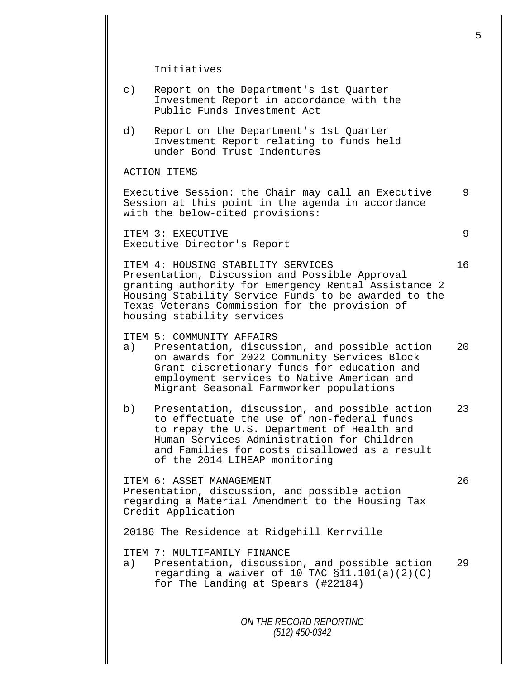Initiatives

- c) Report on the Department's 1st Quarter Investment Report in accordance with the Public Funds Investment Act
- d) Report on the Department's 1st Quarter Investment Report relating to funds held under Bond Trust Indentures

ACTION ITEMS

Executive Session: the Chair may call an Executive 9 Session at this point in the agenda in accordance with the below-cited provisions:

ITEM 3: EXECUTIVE 9 Executive Director's Report

ITEM 4: HOUSING STABILITY SERVICES 16 Presentation, Discussion and Possible Approval granting authority for Emergency Rental Assistance 2 Housing Stability Service Funds to be awarded to the Texas Veterans Commission for the provision of housing stability services

ITEM 5: COMMUNITY AFFAIRS<br>a) Presentation, discus

- Presentation, discussion, and possible action 20 on awards for 2022 Community Services Block Grant discretionary funds for education and employment services to Native American and Migrant Seasonal Farmworker populations
- b) Presentation, discussion, and possible action 23 to effectuate the use of non-federal funds to repay the U.S. Department of Health and Human Services Administration for Children and Families for costs disallowed as a result of the 2014 LIHEAP monitoring

ITEM 6: ASSET MANAGEMENT 26 Presentation, discussion, and possible action regarding a Material Amendment to the Housing Tax Credit Application

20186 The Residence at Ridgehill Kerrville

ITEM 7: MULTIFAMILY FINANCE<br>a) Presentation, discussi

Presentation, discussion, and possible action 29 regarding a waiver of 10 TAC  $$11.101(a)(2)(C)$ for The Landing at Spears (#22184)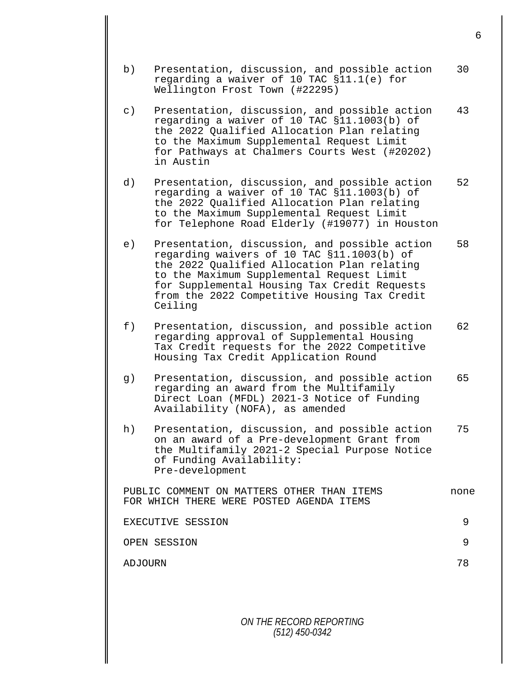b) Presentation, discussion, and possible action 30 regarding a waiver of 10 TAC §11.1(e) for Wellington Frost Town (#22295) c) Presentation, discussion, and possible action 43 regarding a waiver of 10 TAC §11.1003(b) of the 2022 Qualified Allocation Plan relating to the Maximum Supplemental Request Limit for Pathways at Chalmers Courts West (#20202) in Austin d) Presentation, discussion, and possible action 52 regarding a waiver of 10 TAC §11.1003(b) of the 2022 Qualified Allocation Plan relating to the Maximum Supplemental Request Limit for Telephone Road Elderly (#19077) in Houston e) Presentation, discussion, and possible action 58 regarding waivers of 10 TAC §11.1003(b) of the 2022 Qualified Allocation Plan relating to the Maximum Supplemental Request Limit for Supplemental Housing Tax Credit Requests from the 2022 Competitive Housing Tax Credit Ceiling f) Presentation, discussion, and possible action 62 regarding approval of Supplemental Housing Tax Credit requests for the 2022 Competitive Housing Tax Credit Application Round g) Presentation, discussion, and possible action 65 regarding an award from the Multifamily Direct Loan (MFDL) 2021-3 Notice of Funding Availability (NOFA), as amended h) Presentation, discussion, and possible action 75 on an award of a Pre-development Grant from the Multifamily 2021-2 Special Purpose Notice of Funding Availability: Pre-development PUBLIC COMMENT ON MATTERS OTHER THAN ITEMS none FOR WHICH THERE WERE POSTED AGENDA ITEMS EXECUTIVE SESSION 9 OPEN SESSION 9 ADJOURN 78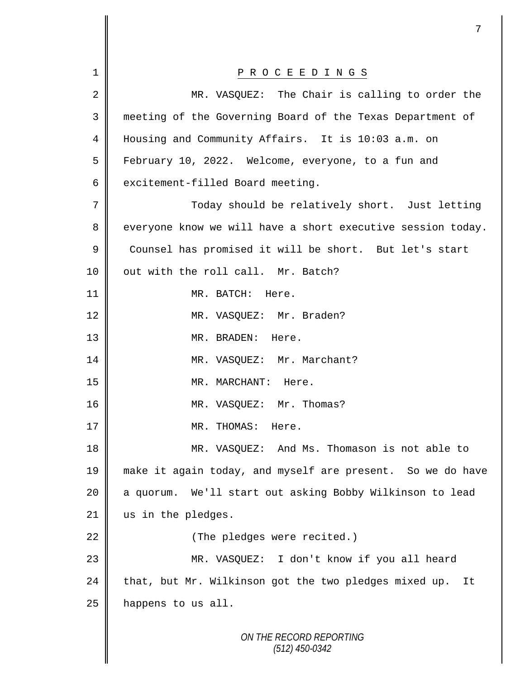|    | 7                                                           |
|----|-------------------------------------------------------------|
| 1  | P R O C E E D I N G S                                       |
| 2  | MR. VASQUEZ: The Chair is calling to order the              |
| 3  | meeting of the Governing Board of the Texas Department of   |
| 4  | Housing and Community Affairs. It is 10:03 a.m. on          |
| 5  | February 10, 2022. Welcome, everyone, to a fun and          |
| 6  | excitement-filled Board meeting.                            |
| 7  | Today should be relatively short. Just letting              |
| 8  | everyone know we will have a short executive session today. |
| 9  | Counsel has promised it will be short. But let's start      |
| 10 | out with the roll call. Mr. Batch?                          |
| 11 | MR. BATCH:<br>Here.                                         |
|    |                                                             |
| 12 | MR. VASQUEZ: Mr. Braden?                                    |
| 13 | MR. BRADEN: Here.                                           |
| 14 | MR. VASQUEZ: Mr. Marchant?                                  |
| 15 | MR. MARCHANT: Here.                                         |
| 16 | MR. VASQUEZ: Mr. Thomas?                                    |
| 17 | MR. THOMAS: Here.                                           |
| 18 | MR. VASQUEZ: And Ms. Thomason is not able to                |
| 19 | make it again today, and myself are present. So we do have  |
| 20 | a quorum. We'll start out asking Bobby Wilkinson to lead    |
| 21 | us in the pledges.                                          |
| 22 | (The pledges were recited.)                                 |
| 23 | MR. VASQUEZ: I don't know if you all heard                  |
| 24 | that, but Mr. Wilkinson got the two pledges mixed up.<br>It |
| 25 | happens to us all.                                          |
|    | ON THE RECORD REPORTING<br>$(512)$ 450-0342                 |

I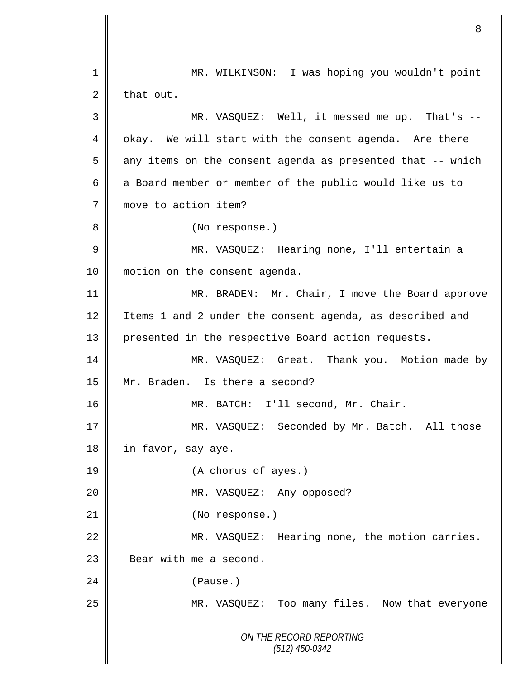*ON THE RECORD REPORTING (512) 450-0342* 1 MR. WILKINSON: I was hoping you wouldn't point  $2 \parallel$  that out. 3 MR. VASQUEZ: Well, it messed me up. That's -- 4 | okay. We will start with the consent agenda. Are there  $5 \parallel$  any items on the consent agenda as presented that -- which 6  $\parallel$  a Board member or member of the public would like us to 7 move to action item? 8 || (No response.) 9 || MR. VASQUEZ: Hearing none, I'll entertain a 10 | motion on the consent agenda. 11 || MR. BRADEN: Mr. Chair, I move the Board approve 12 I Items 1 and 2 under the consent agenda, as described and 13 presented in the respective Board action requests. 14 MR. VASQUEZ: Great. Thank you. Motion made by 15 || Mr. Braden. Is there a second? 16 | MR. BATCH: I'll second, Mr. Chair. 17 || MR. VASQUEZ: Seconded by Mr. Batch. All those 18 in favor, say aye. 19 (A chorus of ayes.) 20 MR. VASQUEZ: Any opposed? 21 || (No response.) 22 | MR. VASQUEZ: Hearing none, the motion carries. 23 **Bear with me a second.** 24 (Pause.) 25 || MR. VASQUEZ: Too many files. Now that everyone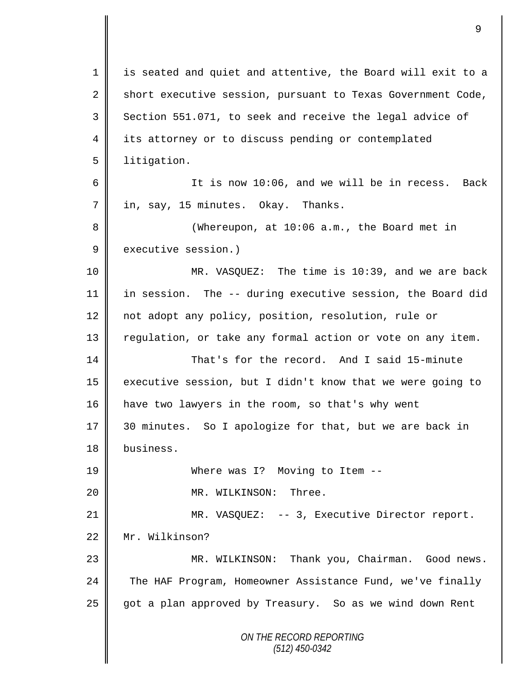*ON THE RECORD REPORTING (512) 450-0342* 1 is seated and quiet and attentive, the Board will exit to a 2 short executive session, pursuant to Texas Government Code, 3 Section 551.071, to seek and receive the legal advice of 4 its attorney or to discuss pending or contemplated 5 | litigation. 6 || It is now 10:06, and we will be in recess. Back 7 || in, say, 15 minutes. Okay. Thanks. 8 Whereupon, at 10:06 a.m., the Board met in 9 executive session.) 10 MR. VASQUEZ: The time is 10:39, and we are back 11 in session. The -- during executive session, the Board did 12 not adopt any policy, position, resolution, rule or 13 || regulation, or take any formal action or vote on any item. 14 That's for the record. And I said 15-minute 15  $\parallel$  executive session, but I didn't know that we were going to 16 have two lawyers in the room, so that's why went 17 30 minutes. So I apologize for that, but we are back in 18 business. 19 Where was I? Moving to Item --20 || MR. WILKINSON: Three. 21 | MR. VASQUEZ: -- 3, Executive Director report. 22 Mr. Wilkinson? 23 MR. WILKINSON: Thank you, Chairman. Good news. 24 The HAF Program, Homeowner Assistance Fund, we've finally 25 got a plan approved by Treasury. So as we wind down Rent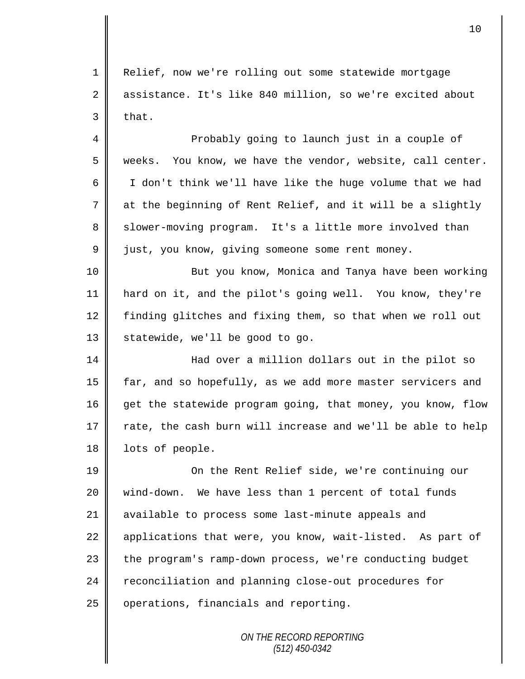1 Relief, now we're rolling out some statewide mortgage 2 assistance. It's like 840 million, so we're excited about  $3$  that.

4 || Probably going to launch just in a couple of  $5 \parallel$  weeks. You know, we have the vendor, website, call center. 6 I don't think we'll have like the huge volume that we had  $7 \parallel$  at the beginning of Rent Relief, and it will be a slightly 8 Slower-moving program. It's a little more involved than 9 just, you know, giving someone some rent money.

10 || But you know, Monica and Tanya have been working 11 hard on it, and the pilot's going well. You know, they're 12 finding glitches and fixing them, so that when we roll out 13 | statewide, we'll be good to go.

14 || Had over a million dollars out in the pilot so 15 far, and so hopefully, as we add more master servicers and 16 get the statewide program going, that money, you know, flow 17  $\parallel$  rate, the cash burn will increase and we'll be able to help 18 | lots of people.

19 || On the Rent Relief side, we're continuing our 20 wind-down. We have less than 1 percent of total funds 21 available to process some last-minute appeals and 22 applications that were, you know, wait-listed. As part of 23 | the program's ramp-down process, we're conducting budget 24 reconciliation and planning close-out procedures for  $25$  | operations, financials and reporting.

> *ON THE RECORD REPORTING (512) 450-0342*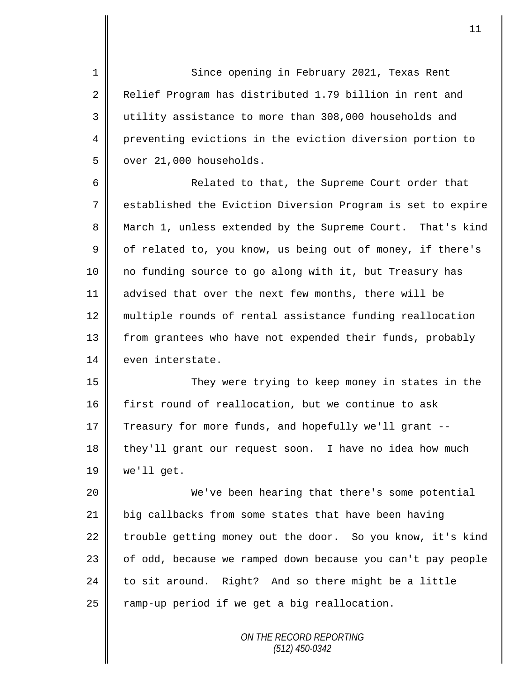1 Since opening in February 2021, Texas Rent 2 Relief Program has distributed 1.79 billion in rent and 3 utility assistance to more than 308,000 households and 4 preventing evictions in the eviction diversion portion to  $5 \parallel$  over 21,000 households.

6 **6** Related to that, the Supreme Court order that 7 | established the Eviction Diversion Program is set to expire 8 March 1, unless extended by the Supreme Court. That's kind  $9 \parallel$  of related to, you know, us being out of money, if there's 10 no funding source to go along with it, but Treasury has 11 advised that over the next few months, there will be 12 || multiple rounds of rental assistance funding reallocation 13 | from grantees who have not expended their funds, probably 14 even interstate.

15 They were trying to keep money in states in the 16 first round of reallocation, but we continue to ask 17 Treasury for more funds, and hopefully we'll grant -- $18$  they'll grant our request soon. I have no idea how much  $19$  we'll get.

20 We've been hearing that there's some potential 21 big callbacks from some states that have been having 22 trouble getting money out the door. So you know, it's kind 23 || of odd, because we ramped down because you can't pay people 24 to sit around. Right? And so there might be a little  $25$  ramp-up period if we get a big reallocation.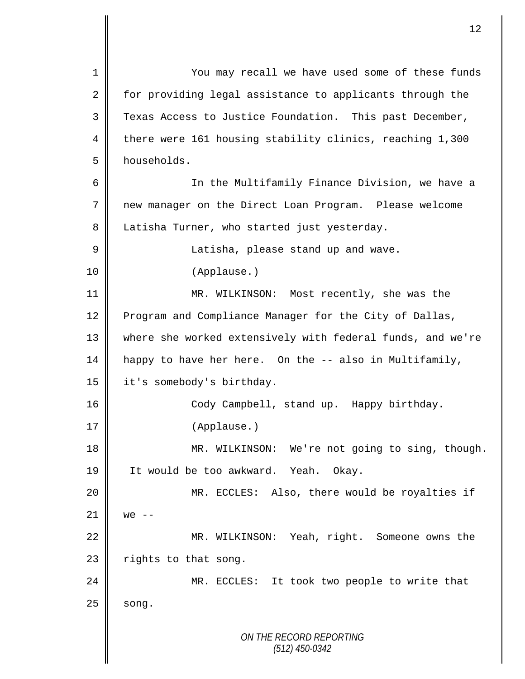*ON THE RECORD REPORTING (512) 450-0342* 1 You may recall we have used some of these funds 2 for providing legal assistance to applicants through the 3 Texas Access to Justice Foundation. This past December, 4 there were 161 housing stability clinics, reaching 1,300 5 households. 6 || In the Multifamily Finance Division, we have a 7 new manager on the Direct Loan Program. Please welcome 8 Latisha Turner, who started just yesterday. 9 || Latisha, please stand up and wave. 10 (Applause.) 11 MR. WILKINSON: Most recently, she was the 12 Program and Compliance Manager for the City of Dallas, 13 where she worked extensively with federal funds, and we're 14 happy to have her here. On the -- also in Multifamily, 15 | it's somebody's birthday. 16 Cody Campbell, stand up. Happy birthday. 17 | (Applause.) 18 || MR. WILKINSON: We're not going to sing, though. 19 || It would be too awkward. Yeah. Okay. 20 MR. ECCLES: Also, there would be royalties if  $21 \parallel$  we --22 | MR. WILKINSON: Yeah, right. Someone owns the 23  $\parallel$  rights to that song. 24 || MR. ECCLES: It took two people to write that  $25$  song.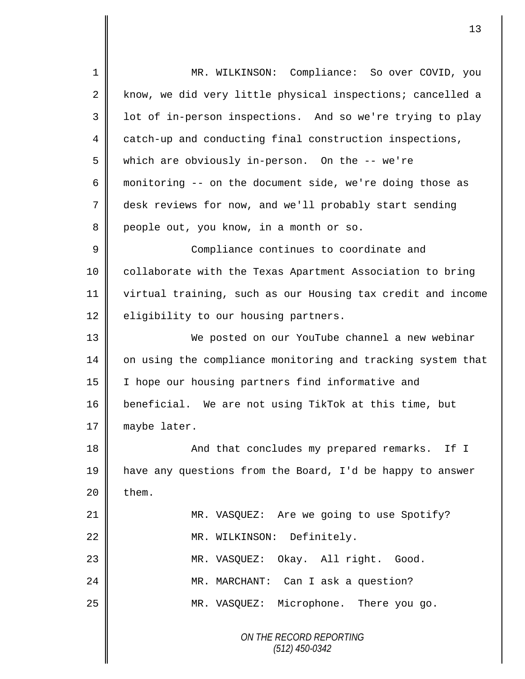| $\mathbf 1$    | MR. WILKINSON: Compliance: So over COVID, you               |
|----------------|-------------------------------------------------------------|
| $\overline{a}$ | know, we did very little physical inspections; cancelled a  |
| 3              | lot of in-person inspections. And so we're trying to play   |
| 4              | catch-up and conducting final construction inspections,     |
| 5              | which are obviously in-person. On the -- we're              |
| 6              | monitoring -- on the document side, we're doing those as    |
| 7              | desk reviews for now, and we'll probably start sending      |
| 8              | people out, you know, in a month or so.                     |
| $\mathsf 9$    | Compliance continues to coordinate and                      |
| 10             | collaborate with the Texas Apartment Association to bring   |
| 11             | virtual training, such as our Housing tax credit and income |
| 12             | eligibility to our housing partners.                        |
| 13             | We posted on our YouTube channel a new webinar              |
| 14             | on using the compliance monitoring and tracking system that |
| 15             | I hope our housing partners find informative and            |
| 16             | beneficial. We are not using TikTok at this time, but       |
| 17             | maybe later.                                                |
| 18             | And that concludes my prepared remarks. If I                |
| 19             | have any questions from the Board, I'd be happy to answer   |
| 20             | them.                                                       |
| 21             | MR. VASQUEZ: Are we going to use Spotify?                   |
| 22             | MR. WILKINSON: Definitely.                                  |
| 23             | MR. VASQUEZ: Okay. All right. Good.                         |
| 24             | MR. MARCHANT: Can I ask a question?                         |
| 25             | MR. VASQUEZ: Microphone. There you go.                      |
|                | ON THE RECORD REPORTING<br>$(512)$ 450-0342                 |

*(512) 450-0342*

II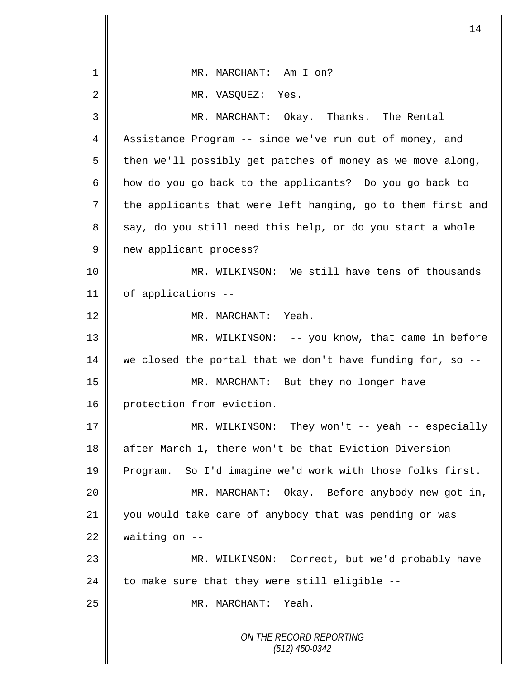| 1    | MR. MARCHANT: Am I on?                                      |
|------|-------------------------------------------------------------|
| 2    | MR. VASQUEZ:<br>Yes.                                        |
| 3    | MR. MARCHANT: Okay. Thanks. The Rental                      |
| 4    | Assistance Program -- since we've run out of money, and     |
| 5    | then we'll possibly get patches of money as we move along,  |
| 6    | how do you go back to the applicants? Do you go back to     |
| 7    | the applicants that were left hanging, go to them first and |
| 8    | say, do you still need this help, or do you start a whole   |
| 9    | new applicant process?                                      |
| 10   | MR. WILKINSON: We still have tens of thousands              |
| 11   | of applications --                                          |
| 12   | MR. MARCHANT: Yeah.                                         |
| 13   | MR. WILKINSON: -- you know, that came in before             |
| 14   | we closed the portal that we don't have funding for, so --  |
| 15   | MR. MARCHANT: But they no longer have                       |
| 16   | protection from eviction.                                   |
| $17$ | MR. WILKINSON: They won't -- yeah -- especially             |
| 18   | after March 1, there won't be that Eviction Diversion       |
| 19   | Program. So I'd imagine we'd work with those folks first.   |
| 20   | MR. MARCHANT: Okay. Before anybody new got in,              |
| 21   | you would take care of anybody that was pending or was      |
| 22   | waiting on $-$ -                                            |
| 23   | MR. WILKINSON: Correct, but we'd probably have              |
| 24   | to make sure that they were still eligible --               |
| 25   | MR. MARCHANT:<br>Yeah.                                      |
|      | ON THE RECORD REPORTING<br>$(512)$ 450-0342                 |

 $\overline{\mathsf{I}}$ II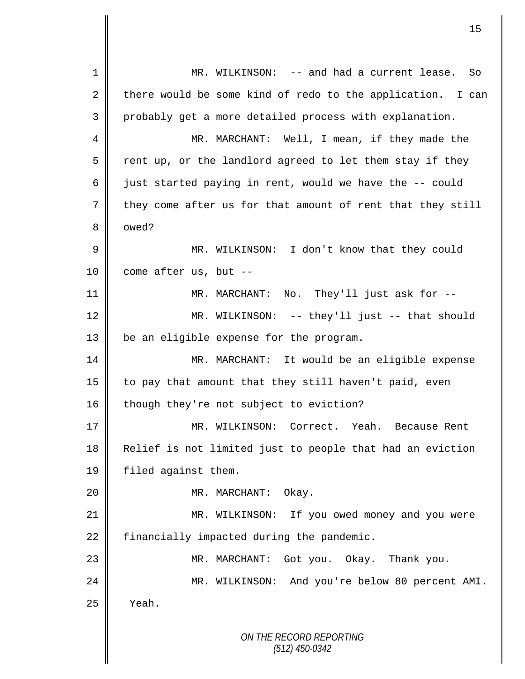*ON THE RECORD REPORTING (512) 450-0342* 1 MR. WILKINSON: -- and had a current lease. So 2 there would be some kind of redo to the application. I can 3 probably get a more detailed process with explanation. 4 MR. MARCHANT: Well, I mean, if they made the  $5 \parallel$  rent up, or the landlord agreed to let them stay if they 6 just started paying in rent, would we have the  $-$ - could 7 they come after us for that amount of rent that they still 8 | owed? 9 || MR. WILKINSON: I don't know that they could  $10$  | come after us, but --11 || MR. MARCHANT: No. They'll just ask for --12 MR. WILKINSON: -- they'll just -- that should 13 | be an eligible expense for the program. 14 MR. MARCHANT: It would be an eligible expense 15  $\parallel$  to pay that amount that they still haven't paid, even 16 though they're not subject to eviction? 17 MR. WILKINSON: Correct. Yeah. Because Rent 18 Relief is not limited just to people that had an eviction 19 | filed against them. 20 || MR. MARCHANT: Okay. 21 MR. WILKINSON: If you owed money and you were 22 financially impacted during the pandemic. 23 MR. MARCHANT: Got you. Okay. Thank you. 24 MR. WILKINSON: And you're below 80 percent AMI.  $25$  | Yeah.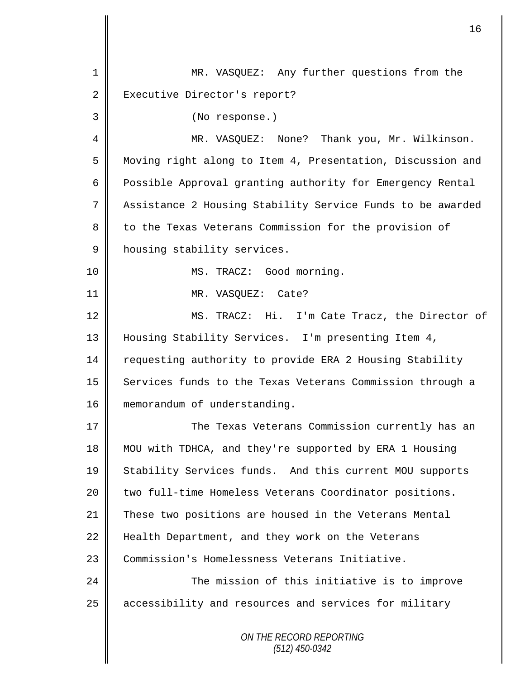| 1              | MR. VASQUEZ: Any further questions from the                |
|----------------|------------------------------------------------------------|
| $\overline{2}$ | Executive Director's report?                               |
| 3              | (No response.)                                             |
| 4              | MR. VASQUEZ: None? Thank you, Mr. Wilkinson.               |
| 5              | Moving right along to Item 4, Presentation, Discussion and |
| 6              | Possible Approval granting authority for Emergency Rental  |
| 7              | Assistance 2 Housing Stability Service Funds to be awarded |
| 8              | to the Texas Veterans Commission for the provision of      |
| 9              | housing stability services.                                |
| 10             | MS. TRACZ: Good morning.                                   |
| 11             | MR. VASQUEZ: Cate?                                         |
| 12             | MS. TRACZ: Hi. I'm Cate Tracz, the Director of             |
| 13             | Housing Stability Services. I'm presenting Item 4,         |
| 14             | requesting authority to provide ERA 2 Housing Stability    |
| 15             | Services funds to the Texas Veterans Commission through a  |
| 16             | memorandum of understanding.                               |
| 17             | The Texas Veterans Commission currently has an             |
| 18             | MOU with TDHCA, and they're supported by ERA 1 Housing     |
| 19             | Stability Services funds. And this current MOU supports    |
| 20             | two full-time Homeless Veterans Coordinator positions.     |
| 21             | These two positions are housed in the Veterans Mental      |
| 22             | Health Department, and they work on the Veterans           |
| 23             | Commission's Homelessness Veterans Initiative.             |
| 24             | The mission of this initiative is to improve               |
| 25             | accessibility and resources and services for military      |
|                | ON THE RECORD REPORTING<br>$(512)$ 450-0342                |

 $\overline{\mathbf{I}}$ II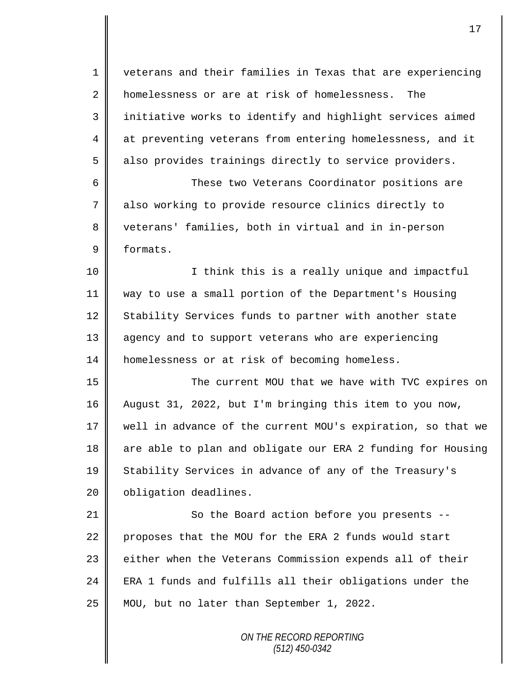*ON THE RECORD REPORTING* 1 veterans and their families in Texas that are experiencing 2 homelessness or are at risk of homelessness. The 3 || initiative works to identify and highlight services aimed 4 at preventing veterans from entering homelessness, and it 5 also provides trainings directly to service providers. 6 These two Veterans Coordinator positions are 7 also working to provide resource clinics directly to 8 veterans' families, both in virtual and in in-person 9 formats. 10 || I think this is a really unique and impactful 11 way to use a small portion of the Department's Housing 12 Stability Services funds to partner with another state 13 | agency and to support veterans who are experiencing 14 | homelessness or at risk of becoming homeless. 15 The current MOU that we have with TVC expires on 16 August 31, 2022, but I'm bringing this item to you now, 17 well in advance of the current MOU's expiration, so that we 18 are able to plan and obligate our ERA 2 funding for Housing 19 Stability Services in advance of any of the Treasury's 20 | obligation deadlines. 21 || So the Board action before you presents --22 proposes that the MOU for the ERA 2 funds would start 23 | either when the Veterans Commission expends all of their 24  $\parallel$  ERA 1 funds and fulfills all their obligations under the 25 MOU, but no later than September 1, 2022.

*(512) 450-0342*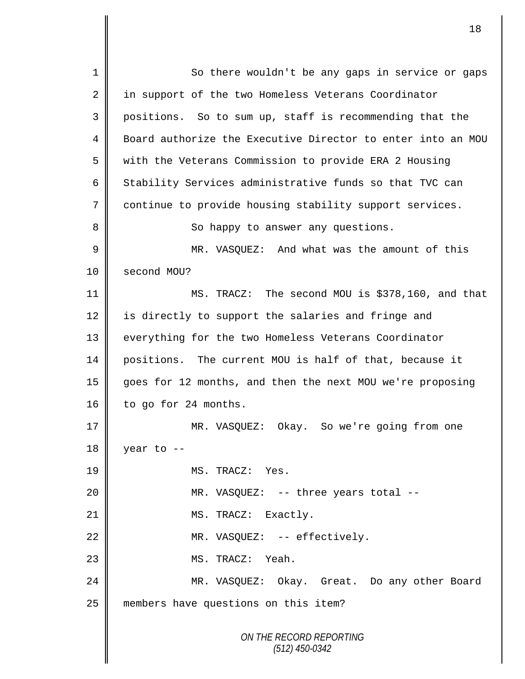*ON THE RECORD REPORTING (512) 450-0342* 1 So there wouldn't be any gaps in service or gaps 2 in support of the two Homeless Veterans Coordinator 3 positions. So to sum up, staff is recommending that the 4 Board authorize the Executive Director to enter into an MOU 5 with the Veterans Commission to provide ERA 2 Housing 6  $\parallel$  Stability Services administrative funds so that TVC can 7 continue to provide housing stability support services. 8 || So happy to answer any questions. 9 || MR. VASQUEZ: And what was the amount of this 10 | second MOU? 11 MS. TRACZ: The second MOU is \$378,160, and that 12  $\parallel$  is directly to support the salaries and fringe and 13 || everything for the two Homeless Veterans Coordinator 14 positions. The current MOU is half of that, because it 15 goes for 12 months, and then the next MOU we're proposing 16 to go for 24 months. 17 MR. VASQUEZ: Okay. So we're going from one  $18 \parallel$  year to --19 MS. TRACZ: Yes. 20 MR. VASQUEZ: -- three years total -- 21 | MS. TRACZ: Exactly. 22 | MR. VASQUEZ: -- effectively. 23 || MS. TRACZ: Yeah. 24 MR. VASQUEZ: Okay. Great. Do any other Board 25 members have questions on this item?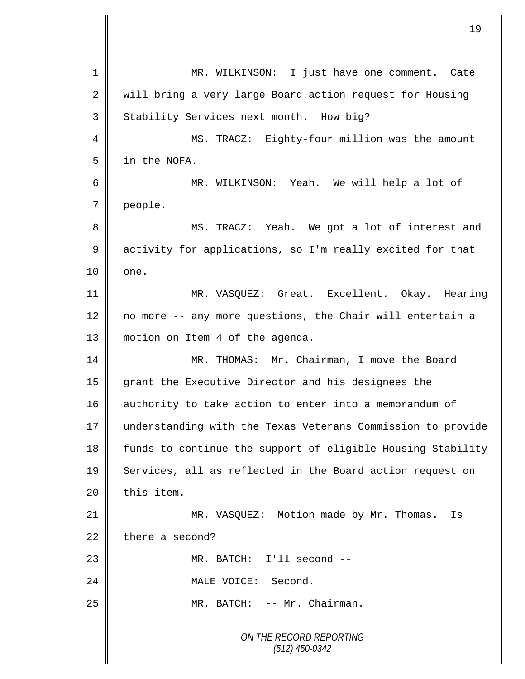| $\mathbf 1$    | MR. WILKINSON: I just have one comment. Cate                |
|----------------|-------------------------------------------------------------|
| $\overline{2}$ | will bring a very large Board action request for Housing    |
| 3              | Stability Services next month. How big?                     |
| 4              | MS. TRACZ: Eighty-four million was the amount               |
| 5              | in the NOFA.                                                |
| 6              | MR. WILKINSON: Yeah. We will help a lot of                  |
| 7              | people.                                                     |
| 8              | MS. TRACZ: Yeah. We got a lot of interest and               |
| $\mathsf 9$    | activity for applications, so I'm really excited for that   |
| 10             | one.                                                        |
| 11             | MR. VASQUEZ: Great. Excellent. Okay. Hearing                |
| 12             | no more -- any more questions, the Chair will entertain a   |
| 13             | motion on Item 4 of the agenda.                             |
| 14             | MR. THOMAS: Mr. Chairman, I move the Board                  |
| 15             | grant the Executive Director and his designees the          |
| 16             | authority to take action to enter into a memorandum of      |
| $17$           | understanding with the Texas Veterans Commission to provide |
| 18             | funds to continue the support of eligible Housing Stability |
| 19             | Services, all as reflected in the Board action request on   |
| 20             | this item.                                                  |
| 21             | MR. VASQUEZ: Motion made by Mr. Thomas.<br>Is               |
| 22             | there a second?                                             |
| 23             | MR. BATCH: I'll second --                                   |
| 24             | MALE VOICE: Second.                                         |
| 25             | MR. BATCH: -- Mr. Chairman.                                 |
|                | ON THE RECORD REPORTING<br>$(512)$ 450-0342                 |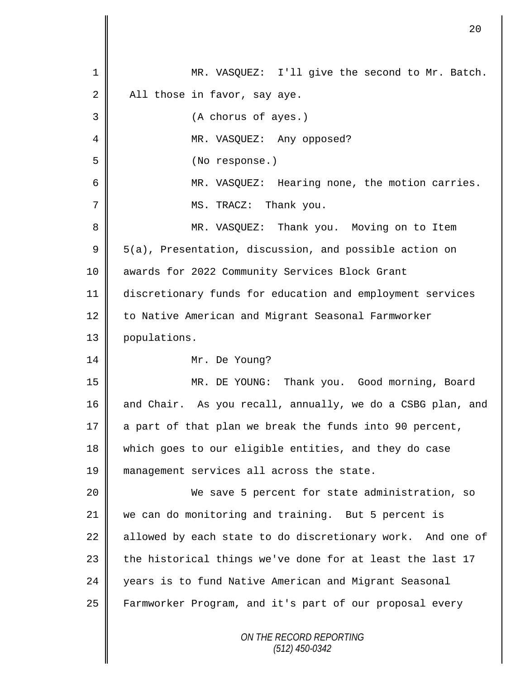| $\mathbf 1$ | MR. VASQUEZ: I'll give the second to Mr. Batch.            |
|-------------|------------------------------------------------------------|
| 2           | All those in favor, say aye.                               |
| 3           | (A chorus of ayes.)                                        |
| 4           | MR. VASQUEZ: Any opposed?                                  |
| 5           | (No response.)                                             |
| 6           | MR. VASQUEZ: Hearing none, the motion carries.             |
| 7           | MS. TRACZ: Thank you.                                      |
| 8           | MR. VASQUEZ: Thank you. Moving on to Item                  |
| $\mathsf 9$ | 5(a), Presentation, discussion, and possible action on     |
| 10          | awards for 2022 Community Services Block Grant             |
| 11          | discretionary funds for education and employment services  |
| 12          | to Native American and Migrant Seasonal Farmworker         |
| 13          | populations.                                               |
| 14          | Mr. De Young?                                              |
| 15          | MR. DE YOUNG: Thank you. Good morning, Board               |
| 16          | and Chair. As you recall, annually, we do a CSBG plan, and |
| 17          | a part of that plan we break the funds into 90 percent,    |
| 18          | which goes to our eligible entities, and they do case      |
| 19          | management services all across the state.                  |
| 20          | We save 5 percent for state administration, so             |
| 21          | we can do monitoring and training. But 5 percent is        |
| 22          | allowed by each state to do discretionary work. And one of |
| 23          | the historical things we've done for at least the last 17  |
| 24          | years is to fund Native American and Migrant Seasonal      |
| 25          | Farmworker Program, and it's part of our proposal every    |
|             | ON THE RECORD REPORTING<br>$(512)$ 450-0342                |

 $\mathbf l$ II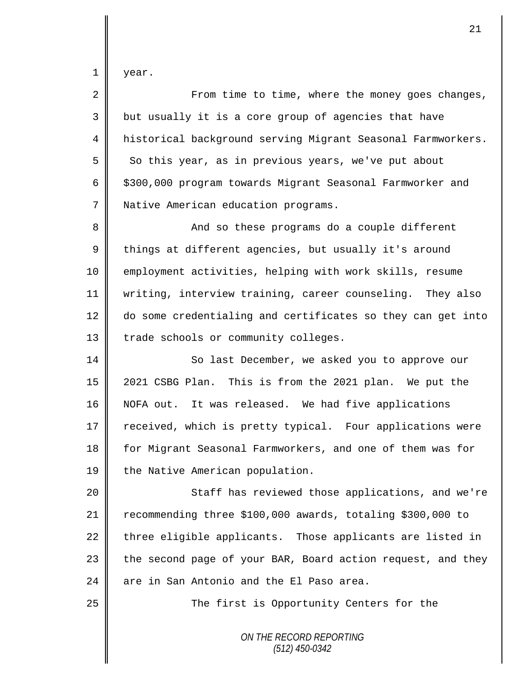$1 \parallel$  year.

| 2  | From time to time, where the money goes changes,            |
|----|-------------------------------------------------------------|
| 3  | but usually it is a core group of agencies that have        |
| 4  | historical background serving Migrant Seasonal Farmworkers. |
| 5  | So this year, as in previous years, we've put about         |
| 6  | \$300,000 program towards Migrant Seasonal Farmworker and   |
| 7  | Native American education programs.                         |
| 8  | And so these programs do a couple different                 |
| 9  | things at different agencies, but usually it's around       |
| 10 | employment activities, helping with work skills, resume     |
| 11 | writing, interview training, career counseling. They also   |
| 12 | do some credentialing and certificates so they can get into |
| 13 | trade schools or community colleges.                        |
| 14 | So last December, we asked you to approve our               |
| 15 | 2021 CSBG Plan. This is from the 2021 plan. We put the      |
| 16 | NOFA out. It was released. We had five applications         |
| 17 | received, which is pretty typical. Four applications were   |
| 18 | for Migrant Seasonal Farmworkers, and one of them was for   |
| 19 | the Native American population.                             |
| 20 | Staff has reviewed those applications, and we're            |
| 21 | recommending three \$100,000 awards, totaling \$300,000 to  |
| 22 | three eligible applicants. Those applicants are listed in   |
| 23 | the second page of your BAR, Board action request, and they |
| 24 | are in San Antonio and the El Paso area.                    |
| 25 | The first is Opportunity Centers for the                    |
|    | ON THE RECORD REPORTING<br>$(512)$ 450-0342                 |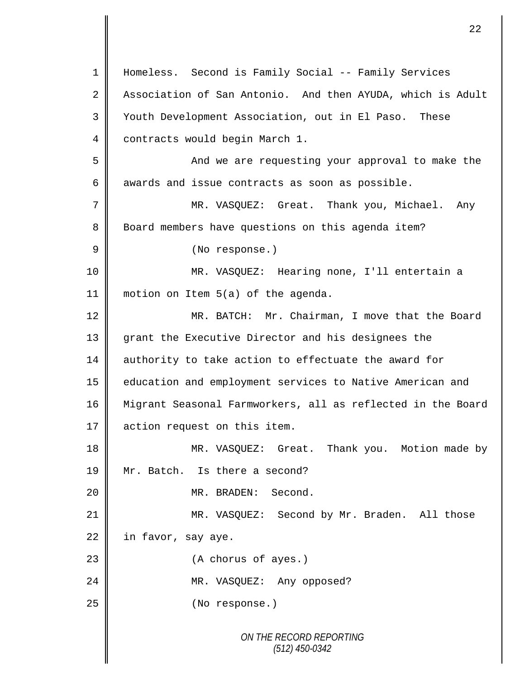*ON THE RECORD REPORTING (512) 450-0342* 1 || Homeless. Second is Family Social -- Family Services 2 Association of San Antonio. And then AYUDA, which is Adult 3 | Youth Development Association, out in El Paso. These 4 contracts would begin March 1. 5 And we are requesting your approval to make the  $6 \parallel$  awards and issue contracts as soon as possible. 7 | MR. VASQUEZ: Great. Thank you, Michael. Any 8 Board members have questions on this agenda item? 9 || (No response.) 10 MR. VASQUEZ: Hearing none, I'll entertain a 11 motion on Item 5(a) of the agenda. 12 MR. BATCH: Mr. Chairman, I move that the Board 13 grant the Executive Director and his designees the 14 authority to take action to effectuate the award for 15 | education and employment services to Native American and 16 Migrant Seasonal Farmworkers, all as reflected in the Board 17 action request on this item. 18 || MR. VASQUEZ: Great. Thank you. Motion made by 19 Mr. Batch. Is there a second? 20 MR. BRADEN: Second. 21 MR. VASQUEZ: Second by Mr. Braden. All those  $22$  in favor, say aye. 23 || (A chorus of ayes.) 24 || MR. VASQUEZ: Any opposed? 25 No response.)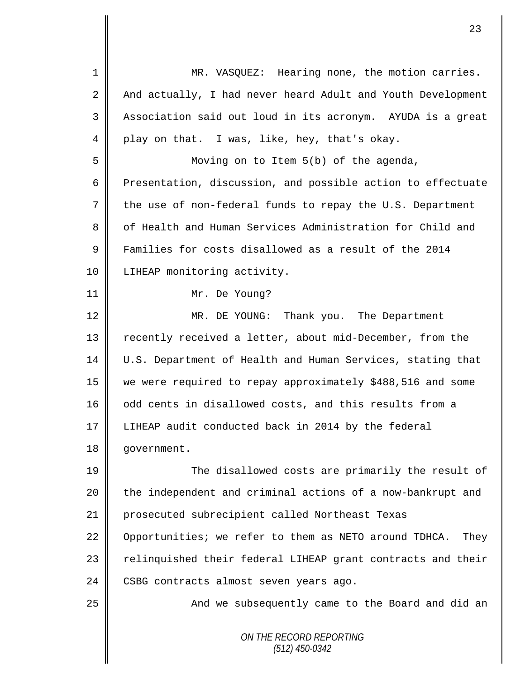| $\mathbf 1$ | MR. VASQUEZ: Hearing none, the motion carries.                |
|-------------|---------------------------------------------------------------|
| 2           | And actually, I had never heard Adult and Youth Development   |
| 3           | Association said out loud in its acronym. AYUDA is a great    |
| 4           | play on that. I was, like, hey, that's okay.                  |
| 5           | Moving on to Item 5(b) of the agenda,                         |
| 6           | Presentation, discussion, and possible action to effectuate   |
| 7           | the use of non-federal funds to repay the U.S. Department     |
| 8           | of Health and Human Services Administration for Child and     |
| $\mathsf 9$ | Families for costs disallowed as a result of the 2014         |
| 10          | LIHEAP monitoring activity.                                   |
| 11          | Mr. De Young?                                                 |
| 12          | MR. DE YOUNG: Thank you. The Department                       |
| 13          | recently received a letter, about mid-December, from the      |
| 14          | U.S. Department of Health and Human Services, stating that    |
| 15          | we were required to repay approximately \$488,516 and some    |
| 16          | odd cents in disallowed costs, and this results from a        |
| 17          | LIHEAP audit conducted back in 2014 by the federal            |
| 18          | government.                                                   |
| 19          | The disallowed costs are primarily the result of              |
| 20          | the independent and criminal actions of a now-bankrupt and    |
| 21          | prosecuted subrecipient called Northeast Texas                |
| 22          | Opportunities; we refer to them as NETO around TDHCA.<br>They |
| 23          | relinguished their federal LIHEAP grant contracts and their   |
| 24          | CSBG contracts almost seven years ago.                        |
| 25          | And we subsequently came to the Board and did an              |
|             | ON THE RECORD REPORTING<br>$(512)$ 450-0342                   |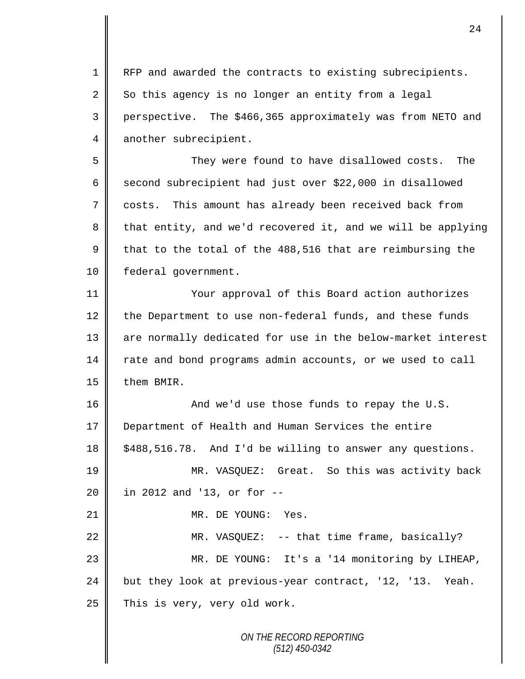1 | RFP and awarded the contracts to existing subrecipients.  $2 \parallel$  So this agency is no longer an entity from a legal 3 perspective. The \$466,365 approximately was from NETO and 4 another subrecipient.

5 They were found to have disallowed costs. The 6 second subrecipient had just over \$22,000 in disallowed 7 costs. This amount has already been received back from 8 that entity, and we'd recovered it, and we will be applying 9 that to the total of the 488,516 that are reimbursing the 10 | federal government.

11 Your approval of this Board action authorizes  $12$  the Department to use non-federal funds, and these funds 13 || are normally dedicated for use in the below-market interest 14 rate and bond programs admin accounts, or we used to call 15 | them BMIR.

16 || And we'd use those funds to repay the U.S. 17 Department of Health and Human Services the entire 18 | \$488,516.78. And I'd be willing to answer any questions. 19 MR. VASQUEZ: Great. So this was activity back 20 || in 2012 and '13, or for --21 || MR. DE YOUNG: Yes. 22 | MR. VASQUEZ: -- that time frame, basically? 23 MR. DE YOUNG: It's a '14 monitoring by LIHEAP,

24 but they look at previous-year contract, '12, '13. Yeah.  $25$  This is very, very old work.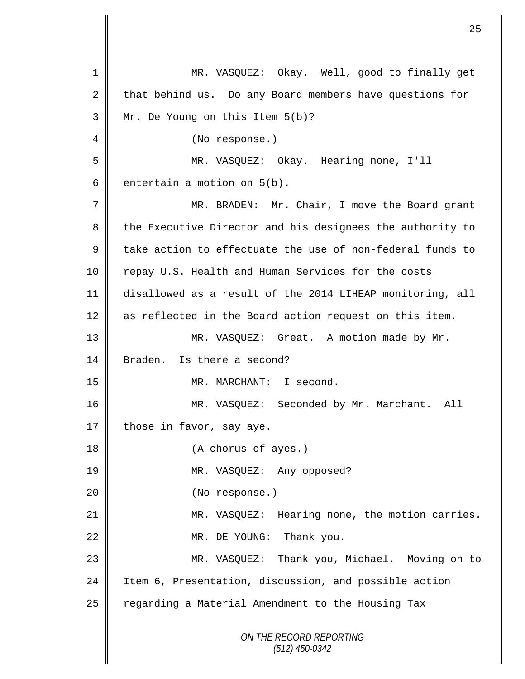*ON THE RECORD REPORTING (512) 450-0342* 1 MR. VASQUEZ: Okay. Well, good to finally get 2 that behind us. Do any Board members have questions for 3 Mr. De Young on this Item 5(b)? 4 || (No response.) 5 MR. VASQUEZ: Okay. Hearing none, I'll 6 entertain a motion on  $5(b)$ . 7 || MR. BRADEN: Mr. Chair, I move the Board grant 8 the Executive Director and his designees the authority to 9 take action to effectuate the use of non-federal funds to 10 Tepay U.S. Health and Human Services for the costs 11 disallowed as a result of the 2014 LIHEAP monitoring, all 12 as reflected in the Board action request on this item. 13 || MR. VASQUEZ: Great. A motion made by Mr. 14 Braden. Is there a second? 15 MR. MARCHANT: I second. 16 MR. VASQUEZ: Seconded by Mr. Marchant. All 17 those in favor, say aye. 18 || (A chorus of ayes.) 19 || MR. VASQUEZ: Any opposed? 20 || (No response.) 21 MR. VASQUEZ: Hearing none, the motion carries. 22 || MR. DE YOUNG: Thank you. 23 MR. VASQUEZ: Thank you, Michael. Moving on to 24 I Item 6, Presentation, discussion, and possible action 25 | regarding a Material Amendment to the Housing Tax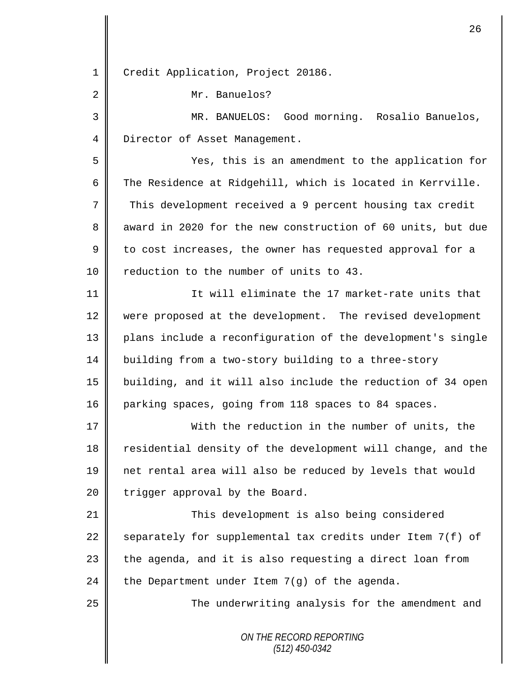*ON THE RECORD REPORTING* 1 | Credit Application, Project 20186. 2 Mr. Banuelos? 3 MR. BANUELOS: Good morning. Rosalio Banuelos, 4 Director of Asset Management. 5 Yes, this is an amendment to the application for 6 The Residence at Ridgehill, which is located in Kerrville. 7 This development received a 9 percent housing tax credit 8 award in 2020 for the new construction of 60 units, but due  $9 \parallel$  to cost increases, the owner has requested approval for a 10 **P** reduction to the number of units to 43. 11 It will eliminate the 17 market-rate units that 12 were proposed at the development. The revised development 13 || plans include a reconfiguration of the development's single 14 building from a two-story building to a three-story 15 building, and it will also include the reduction of 34 open 16 parking spaces, going from 118 spaces to 84 spaces. 17 With the reduction in the number of units, the 18 Tesidential density of the development will change, and the 19 net rental area will also be reduced by levels that would  $20$  | trigger approval by the Board. 21 **This development is also being considered** 22 separately for supplemental tax credits under Item  $7(f)$  of  $23$  | the agenda, and it is also requesting a direct loan from 24 the Department under Item  $7(q)$  of the agenda. 25 | The underwriting analysis for the amendment and

26

*(512) 450-0342*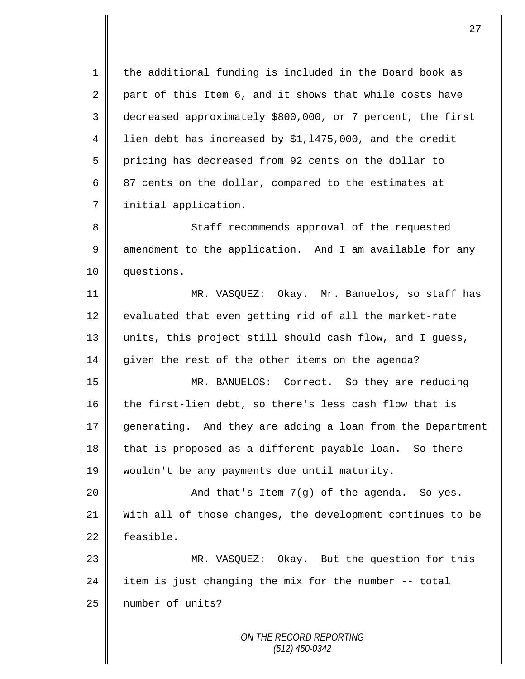1 || the additional funding is included in the Board book as 2 part of this Item 6, and it shows that while costs have 3 decreased approximately \$800,000, or 7 percent, the first 4 | lien debt has increased by \$1,1475,000, and the credit 5 pricing has decreased from 92 cents on the dollar to 6  $\parallel$  87 cents on the dollar, compared to the estimates at 7 | initial application.

8 Staff recommends approval of the requested 9 amendment to the application. And I am available for any 10 questions.

11 MR. VASQUEZ: Okay. Mr. Banuelos, so staff has 12 evaluated that even getting rid of all the market-rate 13 || units, this project still should cash flow, and I guess, 14 given the rest of the other items on the agenda?

15 MR. BANUELOS: Correct. So they are reducing 16 the first-lien debt, so there's less cash flow that is 17 generating. And they are adding a loan from the Department 18 that is proposed as a different payable loan. So there 19 wouldn't be any payments due until maturity.

 $20$   $\parallel$  and that's Item 7(g) of the agenda. So yes. 21 With all of those changes, the development continues to be 22 feasible.

23 MR. VASQUEZ: Okay. But the question for this 24  $\parallel$  item is just changing the mix for the number -- total 25 | number of units?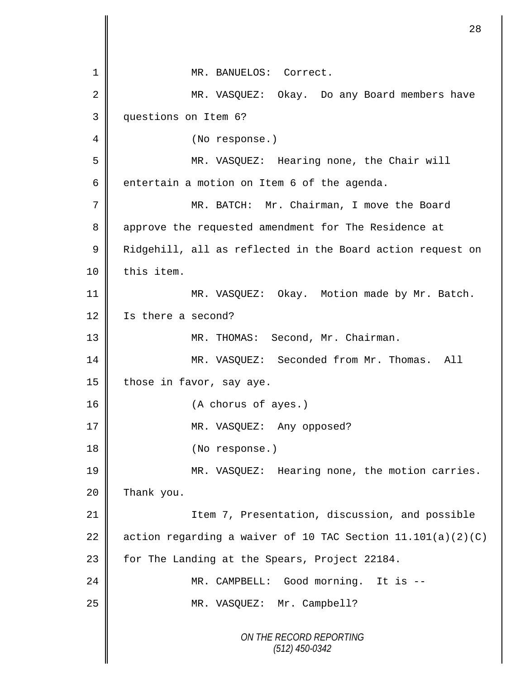*ON THE RECORD REPORTING (512) 450-0342* 1 MR. BANUELOS: Correct. 2 MR. VASQUEZ: Okay. Do any Board members have 3 questions on Item 6? 4 || (No response.) 5 MR. VASQUEZ: Hearing none, the Chair will 6 entertain a motion on Item 6 of the agenda. 7 MR. BATCH: Mr. Chairman, I move the Board 8 || approve the requested amendment for The Residence at 9 | Ridgehill, all as reflected in the Board action request on 10 | this item. 11 | MR. VASQUEZ: Okay. Motion made by Mr. Batch. 12 | Is there a second? 13 || MR. THOMAS: Second, Mr. Chairman. 14 MR. VASQUEZ: Seconded from Mr. Thomas. All 15 | those in favor, say aye. 16 (A chorus of ayes.) 17 || MR. VASQUEZ: Any opposed? 18 || (No response.) 19 MR. VASQUEZ: Hearing none, the motion carries.  $20$  Thank you. 21 | Item 7, Presentation, discussion, and possible 22  $\parallel$  action regarding a waiver of 10 TAC Section 11.101(a)(2)(C) 23 | for The Landing at the Spears, Project 22184. 24 MR. CAMPBELL: Good morning. It is -- 25 || MR. VASQUEZ: Mr. Campbell?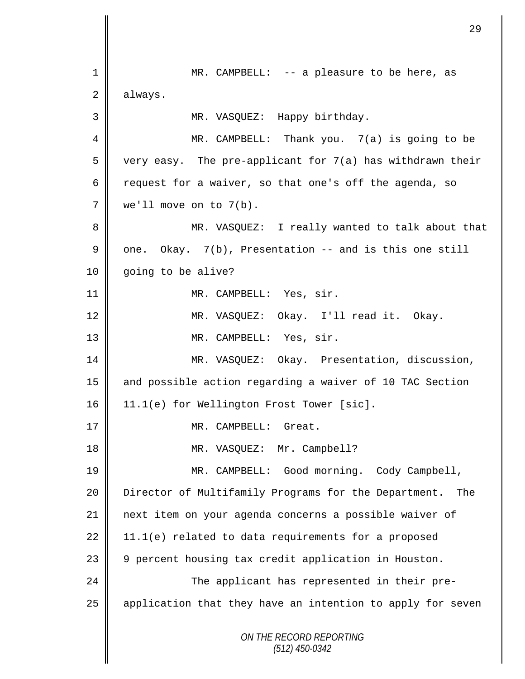*ON THE RECORD REPORTING (512) 450-0342* 1 || MR. CAMPBELL: -- a pleasure to be here, as 2 always. 3 MR. VASQUEZ: Happy birthday. 4 MR. CAMPBELL: Thank you. 7(a) is going to be  $5 \parallel$  very easy. The pre-applicant for 7(a) has withdrawn their 6 Tequest for a waiver, so that one's off the agenda, so 7 we'll move on to 7(b). 8 MR. VASQUEZ: I really wanted to talk about that 9  $\parallel$  one. Okay. 7(b), Presentation -- and is this one still 10 | going to be alive? 11 || MR. CAMPBELL: Yes, sir. 12 || MR. VASQUEZ: Okay. I'll read it. Okay. 13 NR. CAMPBELL: Yes, sir. 14 MR. VASQUEZ: Okay. Presentation, discussion, 15 and possible action regarding a waiver of 10 TAC Section 16 | 11.1(e) for Wellington Frost Tower [sic]. 17 || MR. CAMPBELL: Great. 18 || MR. VASQUEZ: Mr. Campbell? 19 MR. CAMPBELL: Good morning. Cody Campbell, 20 Director of Multifamily Programs for the Department. The 21 next item on your agenda concerns a possible waiver of 22  $\parallel$  11.1(e) related to data requirements for a proposed 23 || 9 percent housing tax credit application in Houston. 24 The applicant has represented in their pre-25 | application that they have an intention to apply for seven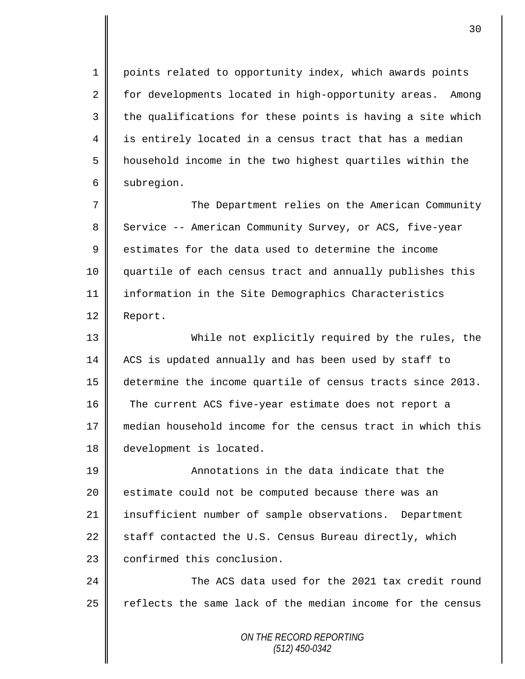1 points related to opportunity index, which awards points 2 for developments located in high-opportunity areas. Among  $3 \parallel$  the qualifications for these points is having a site which 4 is entirely located in a census tract that has a median 5 | household income in the two highest quartiles within the 6 subregion.

7 The Department relies on the American Community 8 Service -- American Community Survey, or ACS, five-year  $9 \parallel$  estimates for the data used to determine the income 10 quartile of each census tract and annually publishes this 11 information in the Site Demographics Characteristics 12 Report.

13 While not explicitly required by the rules, the 14 ACS is updated annually and has been used by staff to 15 determine the income quartile of census tracts since 2013. 16 The current ACS five-year estimate does not report a 17  $\parallel$  median household income for the census tract in which this 18 development is located.

19 Annotations in the data indicate that the 20 estimate could not be computed because there was an 21 insufficient number of sample observations. Department 22  $\parallel$  staff contacted the U.S. Census Bureau directly, which 23 | confirmed this conclusion.

24 The ACS data used for the 2021 tax credit round 25  $\parallel$  reflects the same lack of the median income for the census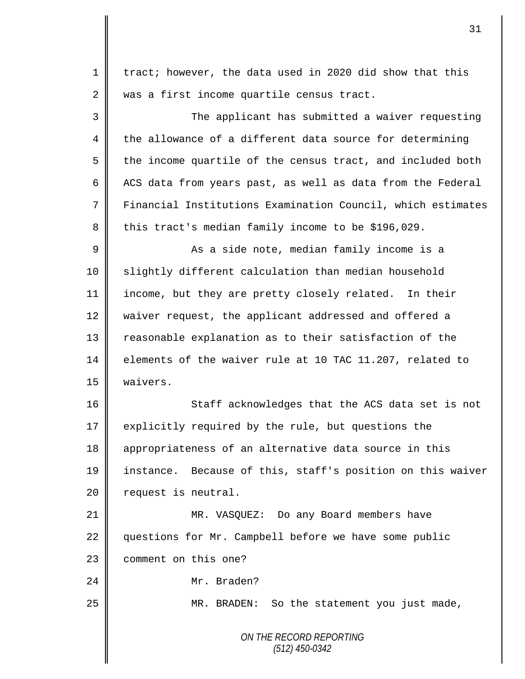*ON THE RECORD REPORTING (512) 450-0342* 1  $\parallel$  tract; however, the data used in 2020 did show that this 2 was a first income quartile census tract. 3 The applicant has submitted a waiver requesting  $4 \parallel$  the allowance of a different data source for determining  $5 \parallel$  the income quartile of the census tract, and included both  $6 \parallel$  ACS data from years past, as well as data from the Federal 7 Financial Institutions Examination Council, which estimates 8 this tract's median family income to be \$196,029. 9 || As a side note, median family income is a 10 Slightly different calculation than median household 11 income, but they are pretty closely related. In their 12 waiver request, the applicant addressed and offered a 13 Teasonable explanation as to their satisfaction of the 14 elements of the waiver rule at 10 TAC 11.207, related to 15 waivers. 16 Staff acknowledges that the ACS data set is not 17 explicitly required by the rule, but questions the 18 appropriateness of an alternative data source in this 19 instance. Because of this, staff's position on this waiver 20 | request is neutral. 21 MR. VASQUEZ: Do any Board members have 22 questions for Mr. Campbell before we have some public 23 | comment on this one? 24 || Mr. Braden? 25 || MR. BRADEN: So the statement you just made,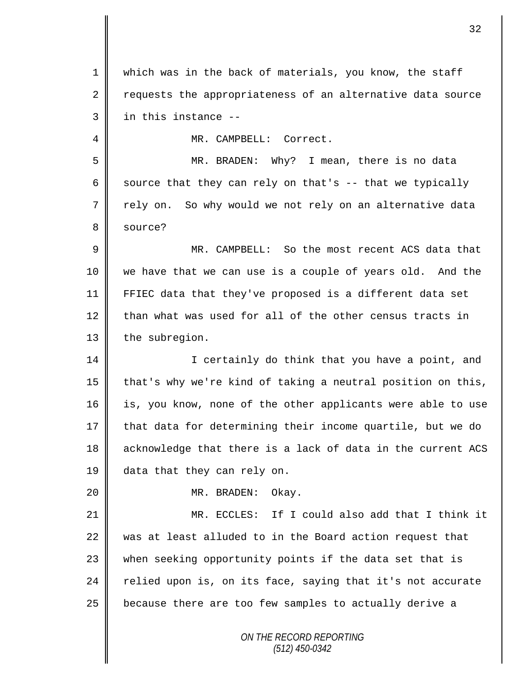1 which was in the back of materials, you know, the staff 2 requests the appropriateness of an alternative data source  $3 \parallel$  in this instance --4 MR. CAMPBELL: Correct.

5 MR. BRADEN: Why? I mean, there is no data 6 source that they can rely on that's  $-$  that we typically 7 || rely on. So why would we not rely on an alternative data 8 source?

9 MR. CAMPBELL: So the most recent ACS data that 10 we have that we can use is a couple of years old. And the 11 FFIEC data that they've proposed is a different data set  $12$  than what was used for all of the other census tracts in 13 the subregion.

14 | I certainly do think that you have a point, and 15  $\parallel$  that's why we're kind of taking a neutral position on this, 16 is, you know, none of the other applicants were able to use 17 that data for determining their income quartile, but we do 18 acknowledge that there is a lack of data in the current ACS 19 data that they can rely on.

20 MR. BRADEN: Okay.

21 MR. ECCLES: If I could also add that I think it 22  $\parallel$  was at least alluded to in the Board action request that 23 when seeking opportunity points if the data set that is 24 relied upon is, on its face, saying that it's not accurate 25 | because there are too few samples to actually derive a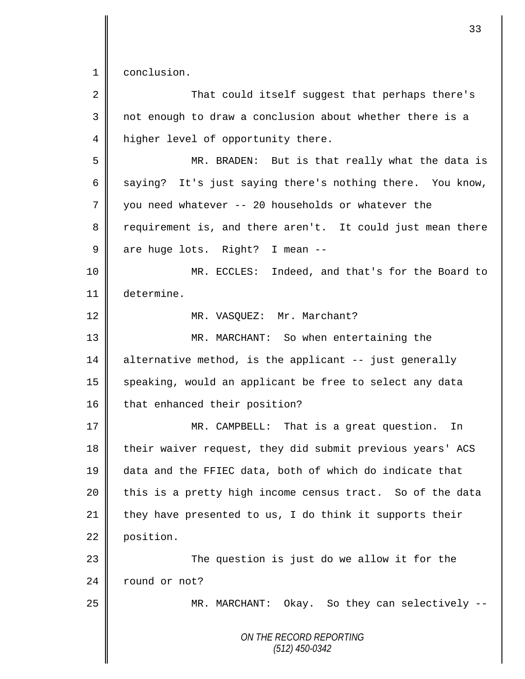1 conclusion.

| $\overline{2}$ | That could itself suggest that perhaps there's             |
|----------------|------------------------------------------------------------|
| 3              | not enough to draw a conclusion about whether there is a   |
| 4              | higher level of opportunity there.                         |
| 5              | MR. BRADEN: But is that really what the data is            |
| 6              | saying? It's just saying there's nothing there. You know,  |
| 7              | you need whatever -- 20 households or whatever the         |
| 8              | requirement is, and there aren't. It could just mean there |
| 9              | are huge lots. Right? I mean --                            |
| 10             | MR. ECCLES: Indeed, and that's for the Board to            |
| 11             | determine.                                                 |
| 12             | MR. VASQUEZ: Mr. Marchant?                                 |
| 13             | MR. MARCHANT: So when entertaining the                     |
| 14             | alternative method, is the applicant -- just generally     |
| 15             | speaking, would an applicant be free to select any data    |
| 16             | that enhanced their position?                              |
| 17             | MR. CAMPBELL: That is a great question.<br>In              |
| 18             | their waiver request, they did submit previous years' ACS  |
| 19             | data and the FFIEC data, both of which do indicate that    |
| 20             | this is a pretty high income census tract. So of the data  |
| 21             | they have presented to us, I do think it supports their    |
| 22             | position.                                                  |
| 23             | The question is just do we allow it for the                |
| 24             | round or not?                                              |
| 25             | MR. MARCHANT: Okay. So they can selectively --             |
|                | ON THE RECORD REPORTING<br>$(512)$ 450-0342                |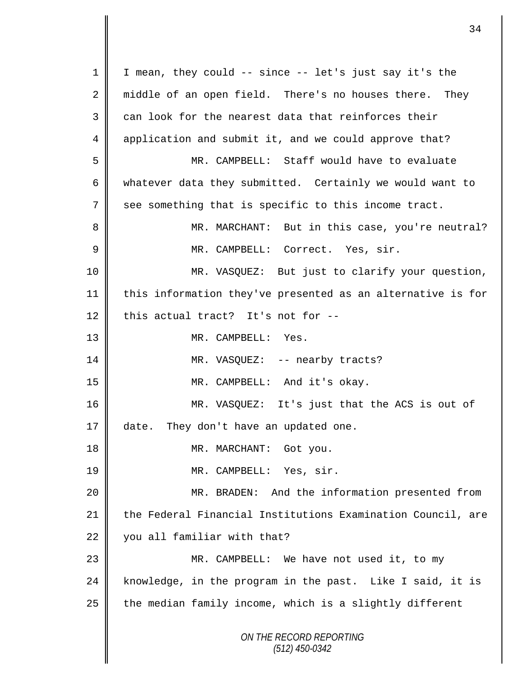*ON THE RECORD REPORTING (512) 450-0342* 1 | I mean, they could -- since -- let's just say it's the 2 || middle of an open field. There's no houses there. They  $3 \parallel$  can look for the nearest data that reinforces their 4 application and submit it, and we could approve that? 5 MR. CAMPBELL: Staff would have to evaluate 6 whatever data they submitted. Certainly we would want to 7 see something that is specific to this income tract. 8 || MR. MARCHANT: But in this case, you're neutral? 9 MR. CAMPBELL: Correct. Yes, sir. 10 MR. VASQUEZ: But just to clarify your question, 11 this information they've presented as an alternative is for 12 this actual tract? It's not for  $-$ -13 || MR. CAMPBELL: Yes. 14 | MR. VASQUEZ: -- nearby tracts? 15 || MR. CAMPBELL: And it's okay. 16 MR. VASQUEZ: It's just that the ACS is out of 17 date. They don't have an updated one. 18 || MR. MARCHANT: Got you. 19 || MR. CAMPBELL: Yes, sir. 20 MR. BRADEN: And the information presented from 21 the Federal Financial Institutions Examination Council, are 22 | you all familiar with that? 23 || MR. CAMPBELL: We have not used it, to my 24 | knowledge, in the program in the past. Like I said, it is  $25$  | the median family income, which is a slightly different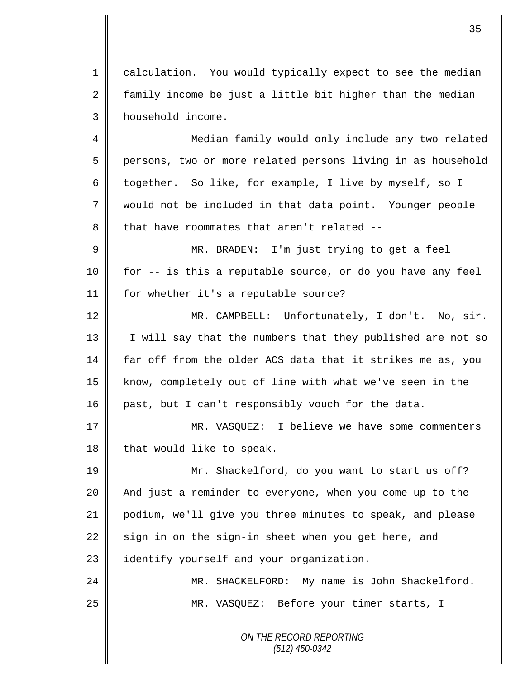1 calculation. You would typically expect to see the median  $2 \parallel$  family income be just a little bit higher than the median 3 household income.

4 || Median family would only include any two related 5 persons, two or more related persons living in as household 6 together. So like, for example, I live by myself, so I 7 would not be included in that data point. Younger people  $8$  | that have roommates that aren't related --

9 || MR. BRADEN: I'm just trying to get a feel 10 for -- is this a reputable source, or do you have any feel 11 for whether it's a reputable source?

12 || MR. CAMPBELL: Unfortunately, I don't. No, sir. 13 || I will say that the numbers that they published are not so 14 far off from the older ACS data that it strikes me as, you 15 || know, completely out of line with what we've seen in the 16 past, but I can't responsibly vouch for the data.

17 || MR. VASOUEZ: I believe we have some commenters 18  $\parallel$  that would like to speak.

19 Mr. Shackelford, do you want to start us off? 20 **And** just a reminder to everyone, when you come up to the 21 podium, we'll give you three minutes to speak, and please  $22$  sign in on the sign-in sheet when you get here, and 23 | identify yourself and your organization.

24 MR. SHACKELFORD: My name is John Shackelford. 25 || MR. VASQUEZ: Before your timer starts, I

> *ON THE RECORD REPORTING (512) 450-0342*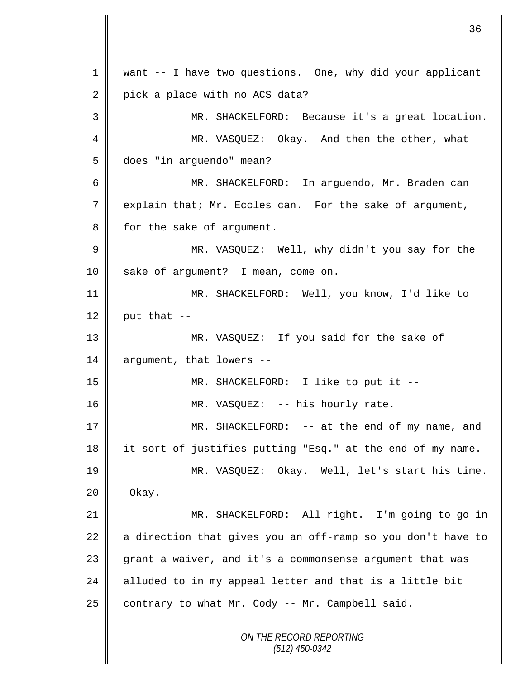*ON THE RECORD REPORTING (512) 450-0342* 1 want -- I have two questions. One, why did your applicant  $2 \parallel$  pick a place with no ACS data? 3 MR. SHACKELFORD: Because it's a great location. 4 MR. VASQUEZ: Okay. And then the other, what 5 does "in arguendo" mean? 6 MR. SHACKELFORD: In arguendo, Mr. Braden can 7 explain that; Mr. Eccles can. For the sake of argument, 8 for the sake of argument. 9 MR. VASQUEZ: Well, why didn't you say for the 10 sake of argument? I mean, come on. 11 || MR. SHACKELFORD: Well, you know, I'd like to 12 | put that  $-$ 13 MR. VASQUEZ: If you said for the sake of 14 argument, that lowers --15 MR. SHACKELFORD: I like to put it -- 16 || MR. VASQUEZ: -- his hourly rate. 17 MR. SHACKELFORD: -- at the end of my name, and 18 it sort of justifies putting "Esq." at the end of my name. 19 MR. VASQUEZ: Okay. Well, let's start his time.  $20 \parallel$  Okay. 21 MR. SHACKELFORD: All right. I'm going to go in 22  $\parallel$  a direction that gives you an off-ramp so you don't have to 23 grant a waiver, and it's a commonsense argument that was 24  $\parallel$  alluded to in my appeal letter and that is a little bit 25 contrary to what Mr. Cody -- Mr. Campbell said.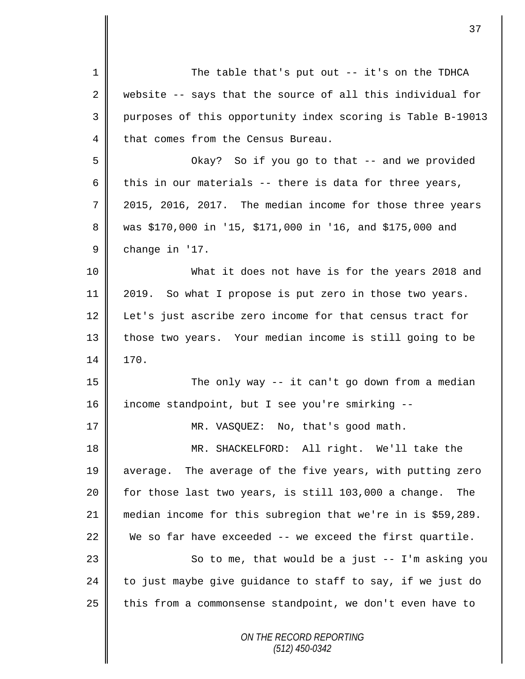| $\mathbf 1$    | The table that's put out $-$ it's on the TDHCA              |  |  |  |
|----------------|-------------------------------------------------------------|--|--|--|
| $\overline{2}$ | website -- says that the source of all this individual for  |  |  |  |
| 3              | purposes of this opportunity index scoring is Table B-19013 |  |  |  |
| 4              | that comes from the Census Bureau.                          |  |  |  |
| 5              | Okay? So if you go to that -- and we provided               |  |  |  |
| 6              | this in our materials -- there is data for three years,     |  |  |  |
| 7              | 2015, 2016, 2017. The median income for those three years   |  |  |  |
| 8              | was \$170,000 in '15, \$171,000 in '16, and \$175,000 and   |  |  |  |
| 9              | change in '17.                                              |  |  |  |
| 10             | What it does not have is for the years 2018 and             |  |  |  |
| 11             | 2019. So what I propose is put zero in those two years.     |  |  |  |
| 12             | Let's just ascribe zero income for that census tract for    |  |  |  |
| 13             | those two years. Your median income is still going to be    |  |  |  |
| 14             | 170.                                                        |  |  |  |
| 15             | The only way -- it can't go down from a median              |  |  |  |
| 16             | income standpoint, but I see you're smirking --             |  |  |  |
| 17             | MR. VASQUEZ: No, that's good math.                          |  |  |  |
| 18             | MR. SHACKELFORD: All right. We'll take the                  |  |  |  |
| 19             | average. The average of the five years, with putting zero   |  |  |  |
| 20             | for those last two years, is still 103,000 a change. The    |  |  |  |
| 21             | median income for this subregion that we're in is \$59,289. |  |  |  |
| 22             | We so far have exceeded -- we exceed the first quartile.    |  |  |  |
| 23             | So to me, that would be a just $-$ I'm asking you           |  |  |  |
| 24             | to just maybe give guidance to staff to say, if we just do  |  |  |  |
| 25             | this from a commonsense standpoint, we don't even have to   |  |  |  |
|                | ON THE RECORD REPORTING                                     |  |  |  |

*(512) 450-0342*

 $\mathsf{I}$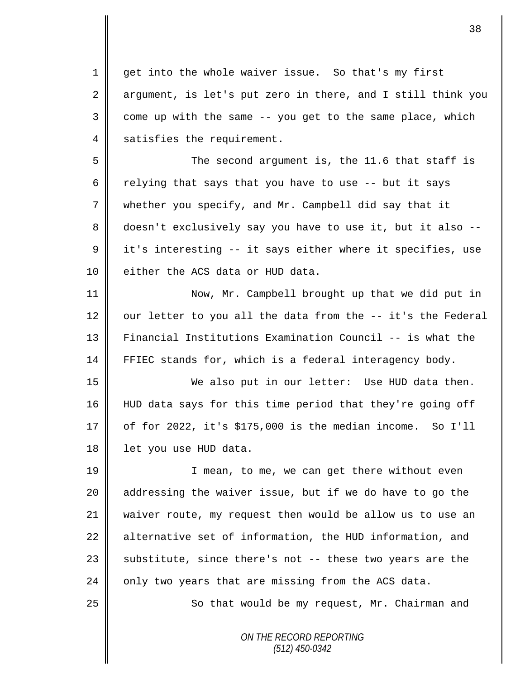1 get into the whole waiver issue. So that's my first  $2 \parallel$  argument, is let's put zero in there, and I still think you  $3 \parallel$  come up with the same  $-$ - you get to the same place, which 4 satisfies the requirement.

5 Second argument is, the 11.6 that staff is 6 Telying that says that you have to use  $-$ - but it says 7 whether you specify, and Mr. Campbell did say that it 8 doesn't exclusively say you have to use it, but it also -- $9 \parallel$  it's interesting -- it says either where it specifies, use 10 | either the ACS data or HUD data.

11 Now, Mr. Campbell brought up that we did put in 12  $\parallel$  our letter to you all the data from the -- it's the Federal 13 Financial Institutions Examination Council -- is what the 14 FFIEC stands for, which is a federal interagency body.

15 We also put in our letter: Use HUD data then. 16 HUD data says for this time period that they're going off  $17 \parallel$  of for 2022, it's \$175,000 is the median income. So I'll 18 | let you use HUD data.

19 || I mean, to me, we can get there without even 20 || addressing the waiver issue, but if we do have to go the 21 waiver route, my request then would be allow us to use an  $22$  alternative set of information, the HUD information, and 23  $\parallel$  substitute, since there's not -- these two years are the 24  $\parallel$  only two years that are missing from the ACS data.

25 || So that would be my request, Mr. Chairman and

*ON THE RECORD REPORTING (512) 450-0342*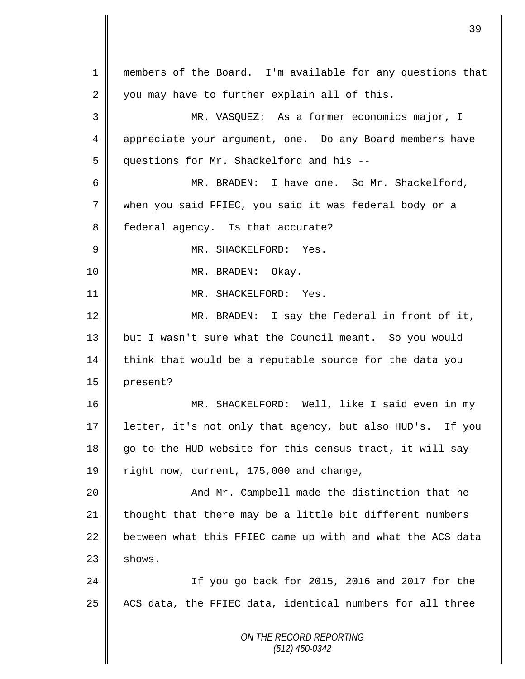*ON THE RECORD REPORTING (512) 450-0342* 1 members of the Board. I'm available for any questions that  $2 \parallel$  you may have to further explain all of this. 3 MR. VASQUEZ: As a former economics major, I 4 appreciate your argument, one. Do any Board members have 5 questions for Mr. Shackelford and his --6 MR. BRADEN: I have one. So Mr. Shackelford, 7 when you said FFIEC, you said it was federal body or a 8 || federal agency. Is that accurate? 9 MR. SHACKELFORD: Yes. 10 || MR. BRADEN: Okay. 11 | MR. SHACKELFORD: Yes. 12 MR. BRADEN: I say the Federal in front of it, 13 but I wasn't sure what the Council meant. So you would  $14$  think that would be a reputable source for the data you 15 present? 16 MR. SHACKELFORD: Well, like I said even in my 17 letter, it's not only that agency, but also HUD's. If you 18  $\parallel$  go to the HUD website for this census tract, it will say 19 | right now, current, 175,000 and change, 20 || And Mr. Campbell made the distinction that he 21 thought that there may be a little bit different numbers  $22$  between what this FFIEC came up with and what the ACS data  $23$   $\parallel$  shows. 24 If you go back for 2015, 2016 and 2017 for the  $25$  | ACS data, the FFIEC data, identical numbers for all three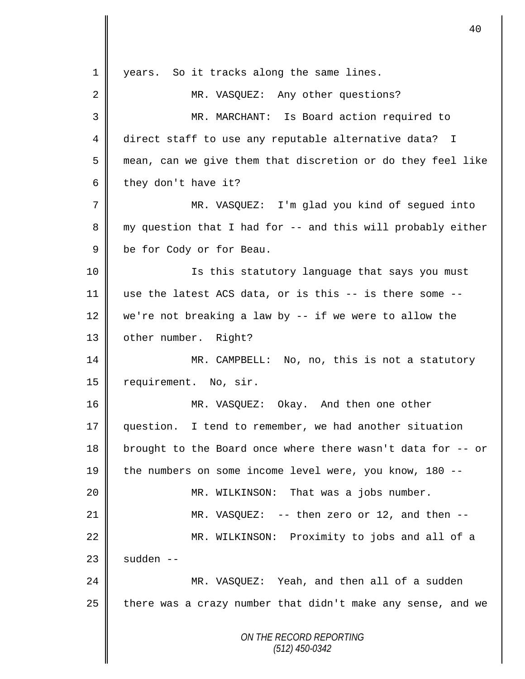|                | 40                                                          |  |
|----------------|-------------------------------------------------------------|--|
| 1              | So it tracks along the same lines.<br>years.                |  |
| 2              | MR. VASQUEZ: Any other questions?                           |  |
| 3              | MR. MARCHANT: Is Board action required to                   |  |
| 4              | direct staff to use any reputable alternative data? I       |  |
| 5              | mean, can we give them that discretion or do they feel like |  |
| 6              | they don't have it?                                         |  |
| $\overline{7}$ | MR. VASQUEZ: I'm glad you kind of segued into               |  |
| 8              | my question that I had for -- and this will probably either |  |
| $\mathsf 9$    | be for Cody or for Beau.                                    |  |
| 10             | Is this statutory language that says you must               |  |
| 11             | use the latest ACS data, or is this -- is there some --     |  |
| 12             | we're not breaking a law by $-$ if we were to allow the     |  |
| 13             | other number. Right?                                        |  |
| 14             | MR. CAMPBELL: No, no, this is not a statutory               |  |
| 15             | requirement. No, sir.                                       |  |
| 16             | MR. VASQUEZ:<br>Okay. And then one other                    |  |
| 17             | question. I tend to remember, we had another situation      |  |
| 18             | brought to the Board once where there wasn't data for -- or |  |
| 19             | the numbers on some income level were, you know, 180 --     |  |
| 20             | MR. WILKINSON: That was a jobs number.                      |  |
| 21             | MR. VASQUEZ: $-$ - then zero or 12, and then $-$ -          |  |
| 22             | MR. WILKINSON: Proximity to jobs and all of a               |  |
| 23             | sudden --                                                   |  |
| 24             | MR. VASQUEZ: Yeah, and then all of a sudden                 |  |
| 25             | there was a crazy number that didn't make any sense, and we |  |
|                | ON THE RECORD REPORTING<br>$(512)$ 450-0342                 |  |

 $\mathbf l$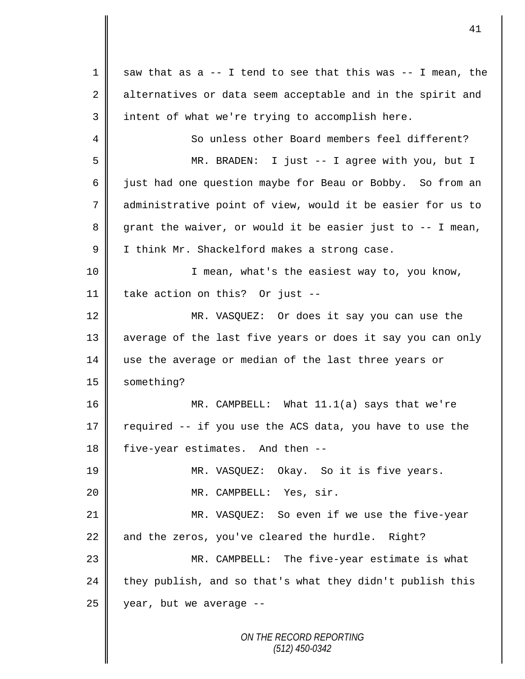$1 \parallel$  saw that as a -- I tend to see that this was -- I mean, the  $2 \parallel$  alternatives or data seem acceptable and in the spirit and 3 intent of what we're trying to accomplish here. 4 So unless other Board members feel different? 5 MR. BRADEN: I just -- I agree with you, but I 6  $\parallel$  just had one question maybe for Beau or Bobby. So from an 7 administrative point of view, would it be easier for us to  $8 \parallel$  grant the waiver, or would it be easier just to  $-$  I mean, 9 | I think Mr. Shackelford makes a strong case. 10 || I mean, what's the easiest way to, you know, 11 take action on this? Or just -- 12 MR. VASQUEZ: Or does it say you can use the 13 | average of the last five years or does it say you can only 14 use the average or median of the last three years or 15 | something? 16 MR. CAMPBELL: What 11.1(a) says that we're 17  $\parallel$  required -- if you use the ACS data, you have to use the 18 five-year estimates. And then --19 MR. VASQUEZ: Okay. So it is five years. 20 MR. CAMPBELL: Yes, sir. 21 MR. VASQUEZ: So even if we use the five-year  $22$  and the zeros, you've cleared the hurdle. Right? 23 MR. CAMPBELL: The five-year estimate is what  $24$  they publish, and so that's what they didn't publish this  $25$  | year, but we average --

*ON THE RECORD REPORTING (512) 450-0342*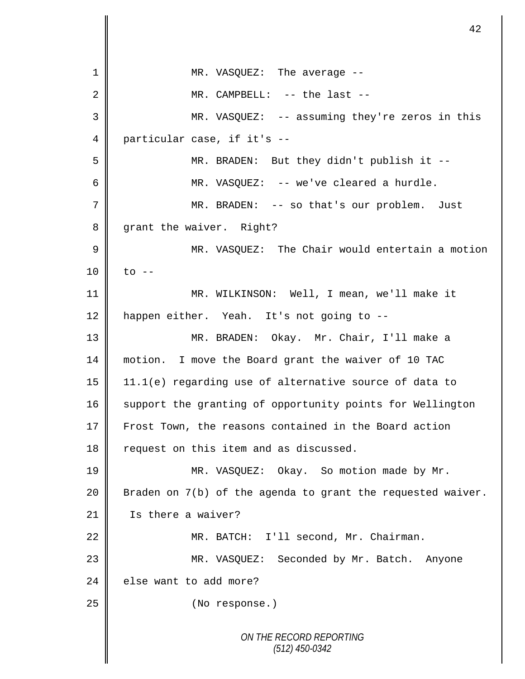*ON THE RECORD REPORTING (512) 450-0342* 1 || MR. VASQUEZ: The average --2  $\parallel$  MR. CAMPBELL: -- the last --3 MR. VASQUEZ: -- assuming they're zeros in this 4 particular case, if it's -- 5 MR. BRADEN: But they didn't publish it -- 6 MR. VASQUEZ: -- we've cleared a hurdle. 7 MR. BRADEN: -- so that's our problem. Just 8 grant the waiver. Right? 9 MR. VASQUEZ: The Chair would entertain a motion  $10 \parallel$  to  $-$ 11 MR. WILKINSON: Well, I mean, we'll make it 12 happen either. Yeah. It's not going to --13 MR. BRADEN: Okay. Mr. Chair, I'll make a 14 motion. I move the Board grant the waiver of 10 TAC 15 11.1(e) regarding use of alternative source of data to 16 support the granting of opportunity points for Wellington 17 Frost Town, the reasons contained in the Board action 18 | request on this item and as discussed. 19 || MR. VASQUEZ: Okay. So motion made by Mr. 20  $\parallel$  Braden on 7(b) of the agenda to grant the requested waiver. 21 | Is there a waiver? 22 MR. BATCH: I'll second, Mr. Chairman. 23 MR. VASQUEZ: Seconded by Mr. Batch. Anyone  $24$   $\parallel$  else want to add more? 25 No response.)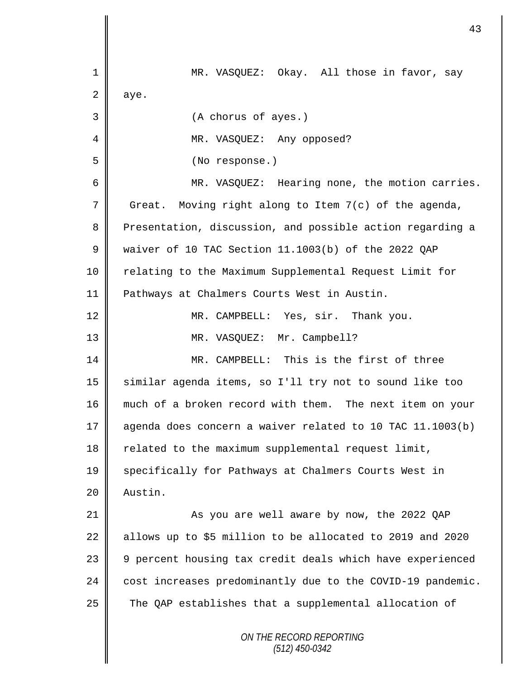| 1           | MR. VASQUEZ: Okay. All those in favor, say                 |  |  |  |
|-------------|------------------------------------------------------------|--|--|--|
| 2           | aye.                                                       |  |  |  |
| 3           | (A chorus of ayes.)                                        |  |  |  |
| 4           | MR. VASQUEZ: Any opposed?                                  |  |  |  |
| 5           | (No response.)                                             |  |  |  |
| 6           | MR. VASQUEZ: Hearing none, the motion carries.             |  |  |  |
| 7           | Moving right along to Item 7(c) of the agenda,<br>Great.   |  |  |  |
| 8           | Presentation, discussion, and possible action regarding a  |  |  |  |
| $\mathsf 9$ | waiver of 10 TAC Section 11.1003(b) of the 2022 QAP        |  |  |  |
| 10          | relating to the Maximum Supplemental Request Limit for     |  |  |  |
| 11          | Pathways at Chalmers Courts West in Austin.                |  |  |  |
| 12          | MR. CAMPBELL: Yes, sir. Thank you.                         |  |  |  |
| 13          | MR. VASQUEZ: Mr. Campbell?                                 |  |  |  |
| 14          | MR. CAMPBELL: This is the first of three                   |  |  |  |
| 15          | similar agenda items, so I'll try not to sound like too    |  |  |  |
| 16          | much of a broken record with them. The next item on your   |  |  |  |
| 17          | agenda does concern a waiver related to 10 TAC 11.1003(b)  |  |  |  |
| 18          | related to the maximum supplemental request limit,         |  |  |  |
| 19          | specifically for Pathways at Chalmers Courts West in       |  |  |  |
| 20          | Austin.                                                    |  |  |  |
| 21          | As you are well aware by now, the 2022 QAP                 |  |  |  |
| 22          | allows up to \$5 million to be allocated to 2019 and 2020  |  |  |  |
| 23          | 9 percent housing tax credit deals which have experienced  |  |  |  |
| 24          | cost increases predominantly due to the COVID-19 pandemic. |  |  |  |
| 25          | The QAP establishes that a supplemental allocation of      |  |  |  |
|             | ON THE RECORD REPORTING<br>$(512)$ 450-0342                |  |  |  |

 $\overline{\mathbf{I}}$ II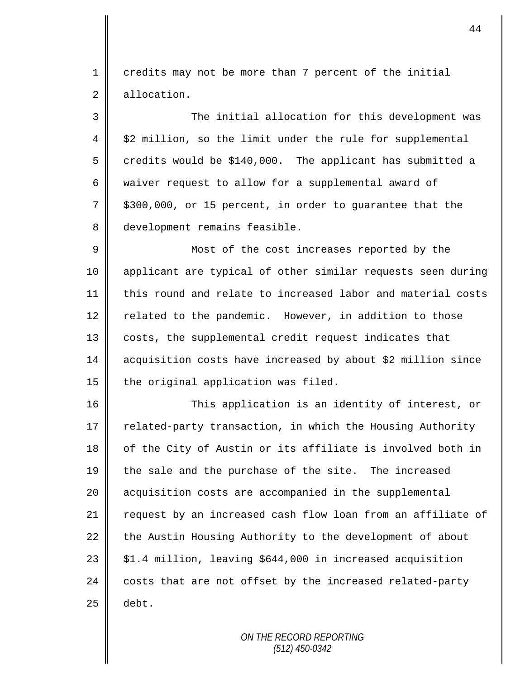1 credits may not be more than 7 percent of the initial 2 allocation.

3 The initial allocation for this development was  $4 \parallel$  \$2 million, so the limit under the rule for supplemental 5 credits would be \$140,000. The applicant has submitted a 6 waiver request to allow for a supplemental award of  $7 \parallel$  \$300,000, or 15 percent, in order to guarantee that the 8 development remains feasible.

9 || Most of the cost increases reported by the 10 applicant are typical of other similar requests seen during 11 this round and relate to increased labor and material costs 12 | related to the pandemic. However, in addition to those 13 || costs, the supplemental credit request indicates that 14 acquisition costs have increased by about \$2 million since  $15$  the original application was filed.

16 This application is an identity of interest, or 17  $\parallel$  related-party transaction, in which the Housing Authority 18 of the City of Austin or its affiliate is involved both in 19 the sale and the purchase of the site. The increased 20 | acquisition costs are accompanied in the supplemental 21  $\parallel$  request by an increased cash flow loan from an affiliate of  $22$  the Austin Housing Authority to the development of about  $23 \parallel$  \$1.4 million, leaving \$644,000 in increased acquisition  $24$  costs that are not offset by the increased related-party  $25$  debt.

> *ON THE RECORD REPORTING (512) 450-0342*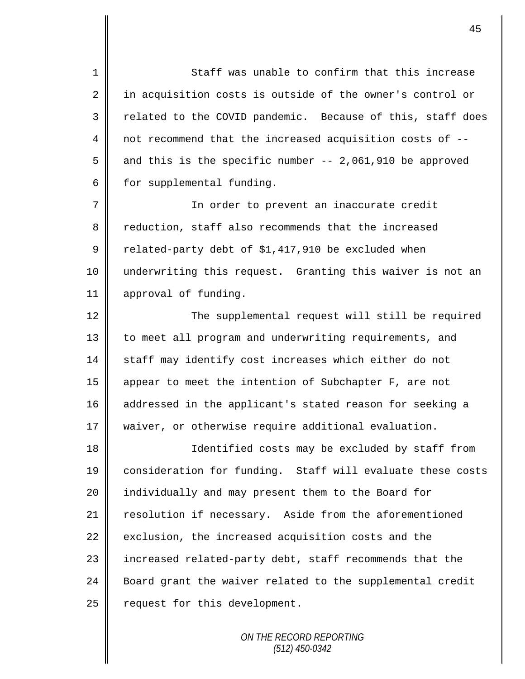1 || Staff was unable to confirm that this increase  $2 \parallel$  in acquisition costs is outside of the owner's control or 3 Telated to the COVID pandemic. Because of this, staff does 4 not recommend that the increased acquisition costs of -- 5 and this is the specific number  $-$  - 2,061,910 be approved  $6 \parallel$  for supplemental funding.

7 In order to prevent an inaccurate credit 8 reduction, staff also recommends that the increased  $9 \parallel$  related-party debt of \$1,417,910 be excluded when 10 underwriting this request. Granting this waiver is not an 11 | approval of funding.

12 | The supplemental request will still be required 13 | to meet all program and underwriting requirements, and 14 staff may identify cost increases which either do not 15 appear to meet the intention of Subchapter F, are not 16 addressed in the applicant's stated reason for seeking a 17 | waiver, or otherwise require additional evaluation.

18 || Identified costs may be excluded by staff from 19 || consideration for funding. Staff will evaluate these costs 20 || individually and may present them to the Board for 21 resolution if necessary. Aside from the aforementioned  $22$  exclusion, the increased acquisition costs and the 23 | increased related-party debt, staff recommends that the 24 Board grant the waiver related to the supplemental credit 25 | request for this development.

> *ON THE RECORD REPORTING (512) 450-0342*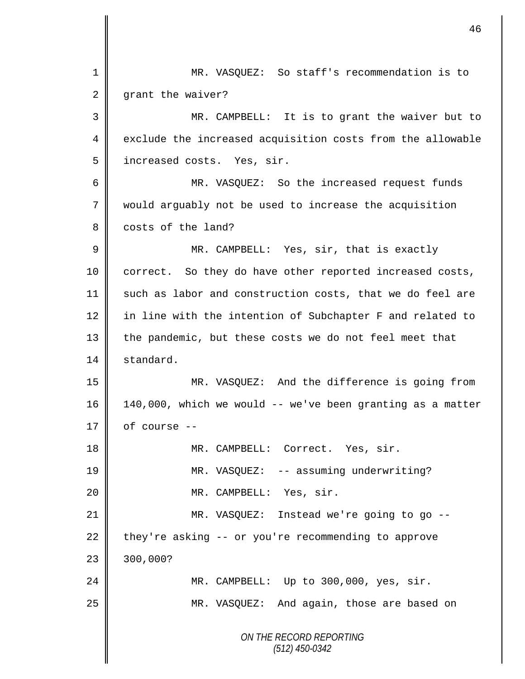*ON THE RECORD REPORTING (512) 450-0342* 1 MR. VASQUEZ: So staff's recommendation is to 2 grant the waiver? 3 MR. CAMPBELL: It is to grant the waiver but to 4 exclude the increased acquisition costs from the allowable 5 || increased costs. Yes, sir. 6 MR. VASQUEZ: So the increased request funds 7 would arguably not be used to increase the acquisition 8 costs of the land? 9 MR. CAMPBELL: Yes, sir, that is exactly 10 correct. So they do have other reported increased costs, 11 such as labor and construction costs, that we do feel are 12 in line with the intention of Subchapter F and related to 13 the pandemic, but these costs we do not feel meet that 14 standard. 15 MR. VASQUEZ: And the difference is going from 16 140,000, which we would -- we've been granting as a matter  $17 \parallel$  of course --18 || MR. CAMPBELL: Correct. Yes, sir. 19 MR. VASQUEZ: -- assuming underwriting? 20 MR. CAMPBELL: Yes, sir. 21 || MR. VASQUEZ: Instead we're going to go -- $22$  they're asking -- or you're recommending to approve  $23 \parallel 300,000?$ 24 MR. CAMPBELL: Up to 300,000, yes, sir. 25 MR. VASQUEZ: And again, those are based on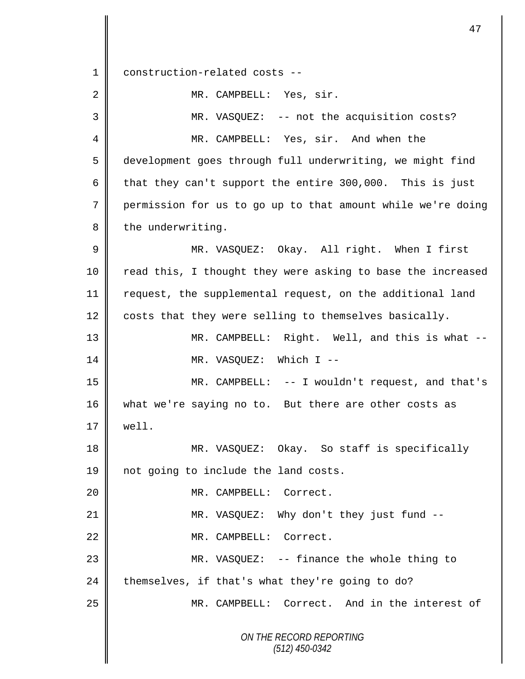*ON THE RECORD REPORTING (512) 450-0342* 1 construction-related costs -- 2 | MR. CAMPBELL: Yes, sir. 3 MR. VASQUEZ: -- not the acquisition costs? 4 MR. CAMPBELL: Yes, sir. And when the 5 development goes through full underwriting, we might find 6 that they can't support the entire 300,000. This is just 7 permission for us to go up to that amount while we're doing 8 the underwriting. 9 MR. VASQUEZ: Okay. All right. When I first 10 || read this, I thought they were asking to base the increased 11 || request, the supplemental request, on the additional land 12 costs that they were selling to themselves basically. 13 MR. CAMPBELL: Right. Well, and this is what -- 14 || MR. VASQUEZ: Which I --15 MR. CAMPBELL: -- I wouldn't request, and that's 16 what we're saying no to. But there are other costs as 17 well. 18 MR. VASQUEZ: Okay. So staff is specifically 19 || not going to include the land costs. 20 MR. CAMPBELL: Correct. 21 || MR. VASQUEZ: Why don't they just fund --22 MR. CAMPBELL: Correct. 23 MR. VASQUEZ: -- finance the whole thing to 24 themselves, if that's what they're going to do? 25 MR. CAMPBELL: Correct. And in the interest of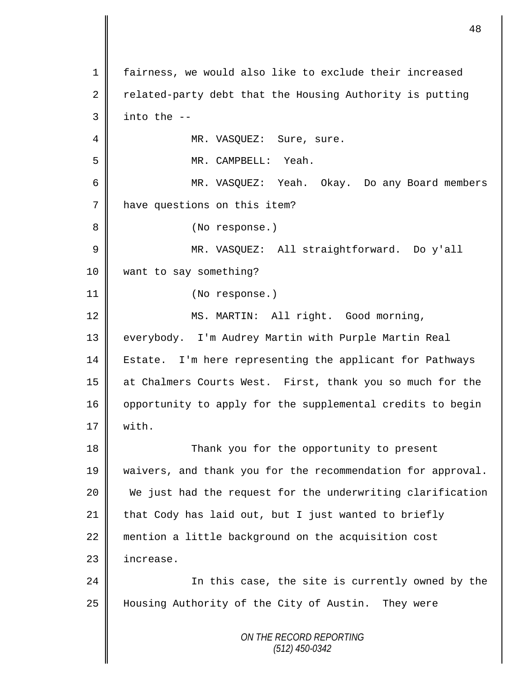*ON THE RECORD REPORTING (512) 450-0342* 1 fairness, we would also like to exclude their increased 2 related-party debt that the Housing Authority is putting  $3 \parallel$  into the --4 | MR. VASQUEZ: Sure, sure. 5 MR. CAMPBELL: Yeah. 6 MR. VASQUEZ: Yeah. Okay. Do any Board members 7 | have questions on this item? 8 || (No response.) 9 MR. VASQUEZ: All straightforward. Do y'all 10 want to say something? 11 (No response.) 12 || MS. MARTIN: All right. Good morning, 13 || everybody. I'm Audrey Martin with Purple Martin Real 14 | Estate. I'm here representing the applicant for Pathways 15 at Chalmers Courts West. First, thank you so much for the 16 | opportunity to apply for the supplemental credits to begin  $17 \parallel$  with. 18 Thank you for the opportunity to present 19 waivers, and thank you for the recommendation for approval. 20 We just had the request for the underwriting clarification 21 that Cody has laid out, but I just wanted to briefly 22 mention a little background on the acquisition cost 23 | increase. 24 || In this case, the site is currently owned by the 25 Housing Authority of the City of Austin. They were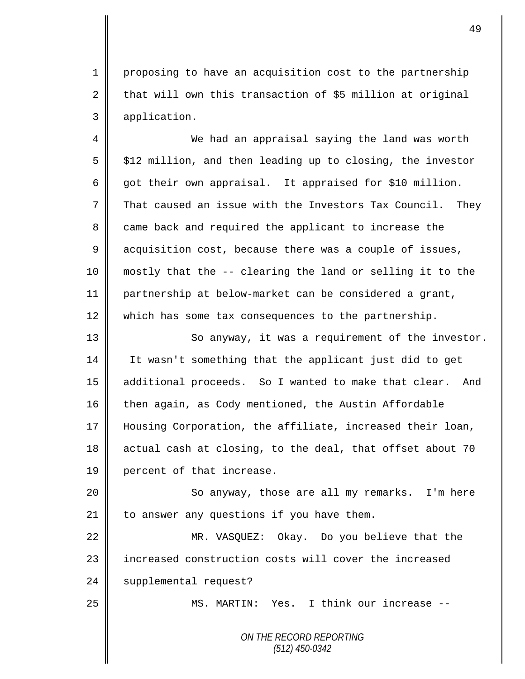1 proposing to have an acquisition cost to the partnership  $2 \parallel$  that will own this transaction of \$5 million at original 3 application.

4 || We had an appraisal saying the land was worth  $5 \parallel$  \$12 million, and then leading up to closing, the investor 6 got their own appraisal. It appraised for \$10 million. 7  $\parallel$  That caused an issue with the Investors Tax Council. They 8 came back and required the applicant to increase the 9 acquisition cost, because there was a couple of issues, 10 mostly that the -- clearing the land or selling it to the 11 partnership at below-market can be considered a grant, 12 which has some tax consequences to the partnership.

13 || So anyway, it was a requirement of the investor. 14 It wasn't something that the applicant just did to get 15 || additional proceeds. So I wanted to make that clear. And 16 then again, as Cody mentioned, the Austin Affordable 17 Housing Corporation, the affiliate, increased their loan, 18 actual cash at closing, to the deal, that offset about 70 19 percent of that increase.

20 || So anyway, those are all my remarks. I'm here 21  $\parallel$  to answer any questions if you have them.

22 MR. VASQUEZ: Okay. Do you believe that the 23 | increased construction costs will cover the increased 24 | supplemental request?

25 || MS. MARTIN: Yes. I think our increase --

*ON THE RECORD REPORTING (512) 450-0342*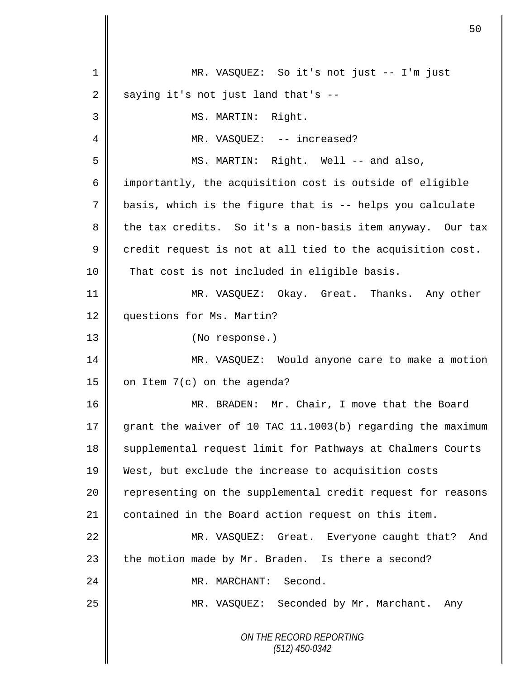|             | 50                                                          |  |
|-------------|-------------------------------------------------------------|--|
| 1           | MR. VASQUEZ: So it's not just -- I'm just                   |  |
| 2           | saying it's not just land that's --                         |  |
| 3           | MS. MARTIN: Right.                                          |  |
| 4           | MR. VASQUEZ: -- increased?                                  |  |
| 5           | MS. MARTIN: Right. Well -- and also,                        |  |
| 6           | importantly, the acquisition cost is outside of eligible    |  |
| 7           | basis, which is the figure that is -- helps you calculate   |  |
| 8           | the tax credits. So it's a non-basis item anyway. Our tax   |  |
| $\mathsf 9$ | credit request is not at all tied to the acquisition cost.  |  |
| 10          | That cost is not included in eligible basis.                |  |
| 11          | MR. VASQUEZ: Okay. Great. Thanks. Any other                 |  |
| 12          | questions for Ms. Martin?                                   |  |
| 13          | (No response.)                                              |  |
| 14          | MR. VASQUEZ: Would anyone care to make a motion             |  |
| 15          | on Item 7(c) on the agenda?                                 |  |
| 16          | MR. BRADEN: Mr. Chair, I move that the Board                |  |
| 17          | grant the waiver of 10 TAC 11.1003(b) regarding the maximum |  |
| 18          | supplemental request limit for Pathways at Chalmers Courts  |  |
| 19          | West, but exclude the increase to acquisition costs         |  |
| 20          | representing on the supplemental credit request for reasons |  |
| 21          | contained in the Board action request on this item.         |  |
| 22          | MR. VASQUEZ: Great. Everyone caught that? And               |  |
| 23          | the motion made by Mr. Braden. Is there a second?           |  |
| 24          | MR. MARCHANT: Second.                                       |  |
| 25          | MR. VASQUEZ: Seconded by Mr. Marchant. Any                  |  |
|             | ON THE RECORD REPORTING<br>$(512)$ 450-0342                 |  |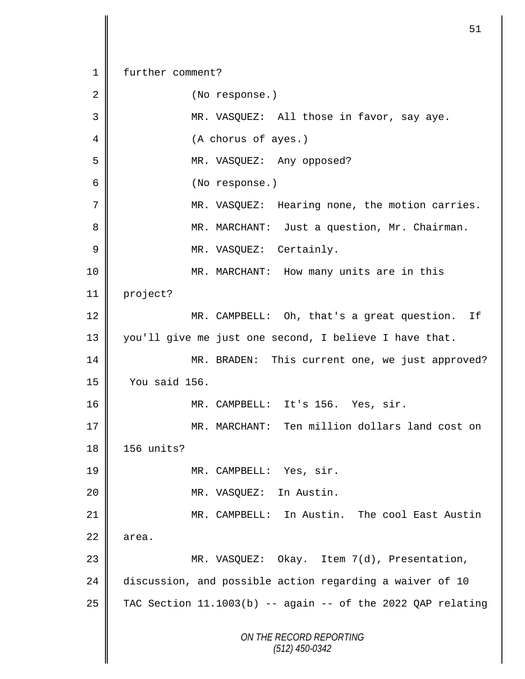*ON THE RECORD REPORTING (512) 450-0342* 1 further comment? 2 | (No response.) 3 MR. VASQUEZ: All those in favor, say aye. 4 || (A chorus of ayes.) 5 || MR. VASQUEZ: Any opposed? 6 (No response.) 7 || MR. VASQUEZ: Hearing none, the motion carries. 8 || MR. MARCHANT: Just a question, Mr. Chairman. 9 | MR. VASQUEZ: Certainly. 10 MR. MARCHANT: How many units are in this 11 project? 12 MR. CAMPBELL: Oh, that's a great question. If 13 you'll give me just one second, I believe I have that. 14 MR. BRADEN: This current one, we just approved? 15 You said 156. 16 MR. CAMPBELL: It's 156. Yes, sir. 17 || MR. MARCHANT: Ten million dollars land cost on 18 156 units? 19 || MR. CAMPBELL: Yes, sir. 20 MR. VASQUEZ: In Austin. 21 MR. CAMPBELL: In Austin. The cool East Austin  $22 \parallel$  area. 23 MR. VASQUEZ: Okay. Item 7(d), Presentation, 24 discussion, and possible action regarding a waiver of 10 25  $\parallel$  TAC Section 11.1003(b) -- again -- of the 2022 QAP relating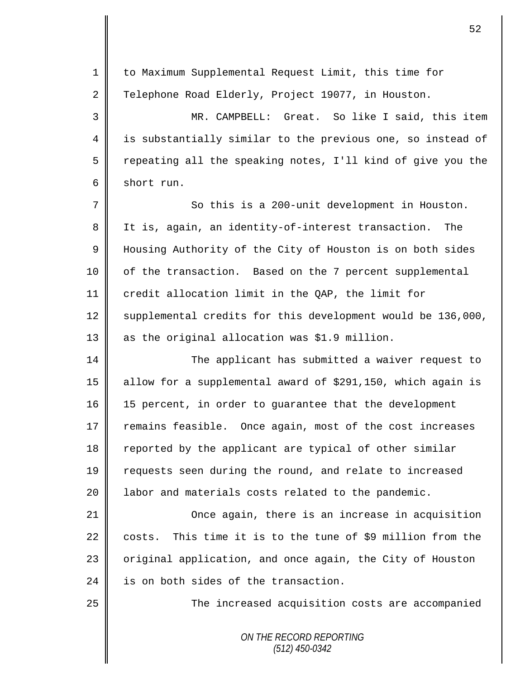| $\mathbf{1}$ | to Maximum Supplemental Request Limit, this time for          |  |  |  |
|--------------|---------------------------------------------------------------|--|--|--|
| 2            | Telephone Road Elderly, Project 19077, in Houston.            |  |  |  |
| 3            | MR. CAMPBELL: Great. So like I said, this item                |  |  |  |
| 4            | is substantially similar to the previous one, so instead of   |  |  |  |
| 5            | repeating all the speaking notes, I'll kind of give you the   |  |  |  |
| 6            | short run.                                                    |  |  |  |
| 7            | So this is a 200-unit development in Houston.                 |  |  |  |
| 8            | It is, again, an identity-of-interest transaction.<br>The     |  |  |  |
| 9            | Housing Authority of the City of Houston is on both sides     |  |  |  |
| 10           | of the transaction. Based on the 7 percent supplemental       |  |  |  |
| 11           | credit allocation limit in the QAP, the limit for             |  |  |  |
| 12           | supplemental credits for this development would be 136,000,   |  |  |  |
| 13           | as the original allocation was \$1.9 million.                 |  |  |  |
| 14           | The applicant has submitted a waiver request to               |  |  |  |
| 15           | allow for a supplemental award of \$291,150, which again is   |  |  |  |
| 16           | 15 percent, in order to guarantee that the development        |  |  |  |
| 17           | remains feasible. Once again, most of the cost increases      |  |  |  |
| 18           | reported by the applicant are typical of other similar        |  |  |  |
| 19           | requests seen during the round, and relate to increased       |  |  |  |
| 20           | labor and materials costs related to the pandemic.            |  |  |  |
| 21           | Once again, there is an increase in acquisition               |  |  |  |
| 22           | This time it is to the tune of \$9 million from the<br>costs. |  |  |  |
| 23           | original application, and once again, the City of Houston     |  |  |  |
| 24           | is on both sides of the transaction.                          |  |  |  |
| 25           | The increased acquisition costs are accompanied               |  |  |  |
|              | ON THE RECORD REPORTING<br>$(512)$ 450-0342                   |  |  |  |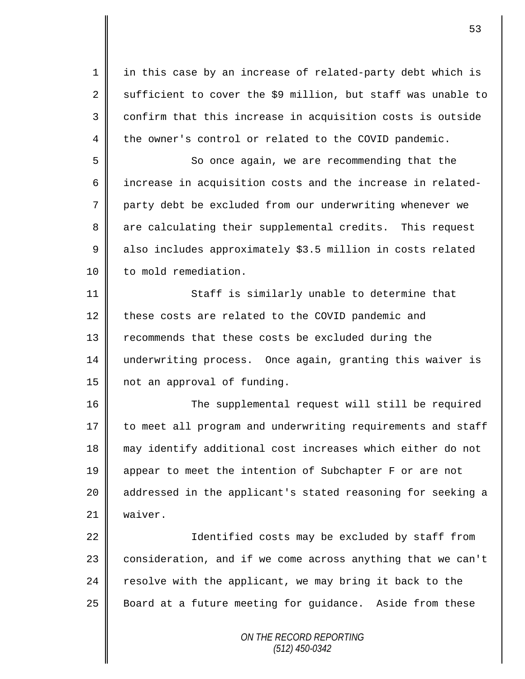1 || in this case by an increase of related-party debt which is 2 sufficient to cover the \$9 million, but staff was unable to  $3 \parallel$  confirm that this increase in acquisition costs is outside 4 the owner's control or related to the COVID pandemic.

5 So once again, we are recommending that the 6  $\parallel$  increase in acquisition costs and the increase in related-7 party debt be excluded from our underwriting whenever we 8 are calculating their supplemental credits. This request 9 also includes approximately \$3.5 million in costs related 10 | to mold remediation.

11 | Staff is similarly unable to determine that 12 these costs are related to the COVID pandemic and 13 Tecommends that these costs be excluded during the 14 underwriting process. Once again, granting this waiver is 15 | not an approval of funding.

16 || The supplemental request will still be required 17 to meet all program and underwriting requirements and staff 18 may identify additional cost increases which either do not 19 appear to meet the intention of Subchapter F or are not 20 || addressed in the applicant's stated reasoning for seeking a 21 | waiver.

22 || Identified costs may be excluded by staff from 23 | consideration, and if we come across anything that we can't 24  $\parallel$  resolve with the applicant, we may bring it back to the 25 Board at a future meeting for guidance. Aside from these

> *ON THE RECORD REPORTING (512) 450-0342*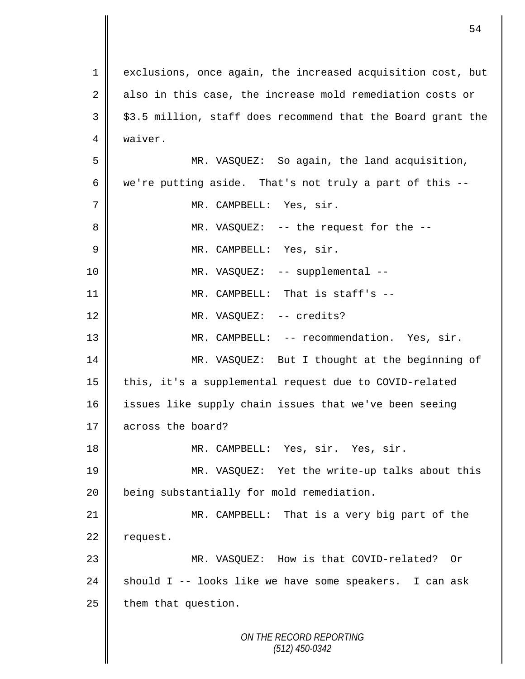*ON THE RECORD REPORTING* 1 exclusions, once again, the increased acquisition cost, but  $2 \parallel$  also in this case, the increase mold remediation costs or  $3 \parallel$  \$3.5 million, staff does recommend that the Board grant the 4 waiver. 5 MR. VASQUEZ: So again, the land acquisition, 6 we're putting aside. That's not truly a part of this  $--$ 7 | MR. CAMPBELL: Yes, sir. 8 || MR. VASQUEZ: -- the request for the --9 || MR. CAMPBELL: Yes, sir. 10 || MR. VASQUEZ: -- supplemental --11 MR. CAMPBELL: That is staff's -- 12 || MR. VASQUEZ: -- credits? 13 || MR. CAMPBELL: -- recommendation. Yes, sir. 14 MR. VASQUEZ: But I thought at the beginning of 15 | this, it's a supplemental request due to COVID-related 16 issues like supply chain issues that we've been seeing 17 across the board? 18 MR. CAMPBELL: Yes, sir. Yes, sir. 19 MR. VASQUEZ: Yet the write-up talks about this 20 **being substantially for mold remediation.** 21 MR. CAMPBELL: That is a very big part of the  $22$  request. 23 MR. VASQUEZ: How is that COVID-related? Or 24  $\parallel$  should I -- looks like we have some speakers. I can ask  $25$  | them that question.

54

*(512) 450-0342*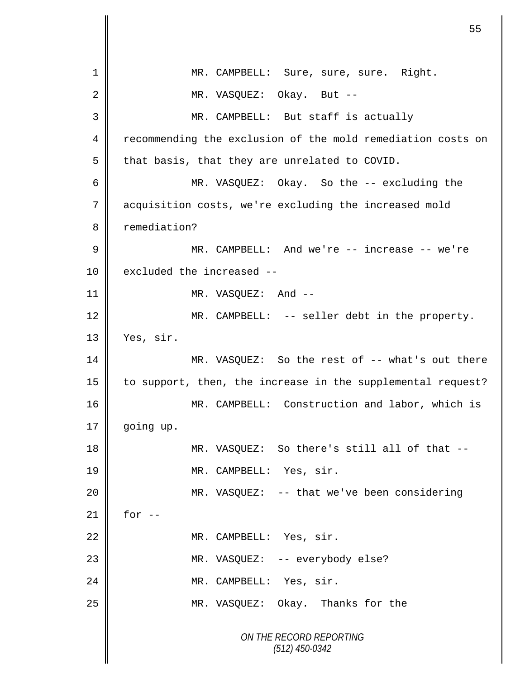*ON THE RECORD REPORTING (512) 450-0342* 1 || MR. CAMPBELL: Sure, sure, sure. Right. 2 MR. VASQUEZ: Okay. But --3 MR. CAMPBELL: But staff is actually 4 Tecommending the exclusion of the mold remediation costs on  $5 \parallel$  that basis, that they are unrelated to COVID. 6 MR. VASQUEZ: Okay. So the -- excluding the 7 acquisition costs, we're excluding the increased mold 8 | remediation? 9 MR. CAMPBELL: And we're -- increase -- we're 10 excluded the increased --11 || MR. VASQUEZ: And --12 || MR. CAMPBELL: -- seller debt in the property. 13 Yes, sir. 14 MR. VASQUEZ: So the rest of -- what's out there 15 | to support, then, the increase in the supplemental request? 16 | MR. CAMPBELL: Construction and labor, which is  $17 \parallel$  going up. 18 MR. VASQUEZ: So there's still all of that --19 || MR. CAMPBELL: Yes, sir. 20 || MR. VASQUEZ: -- that we've been considering  $21$  | for  $-$ 22 || MR. CAMPBELL: Yes, sir. 23 || MR. VASQUEZ: -- everybody else? 24 || MR. CAMPBELL: Yes, sir. 25 MR. VASQUEZ: Okay. Thanks for the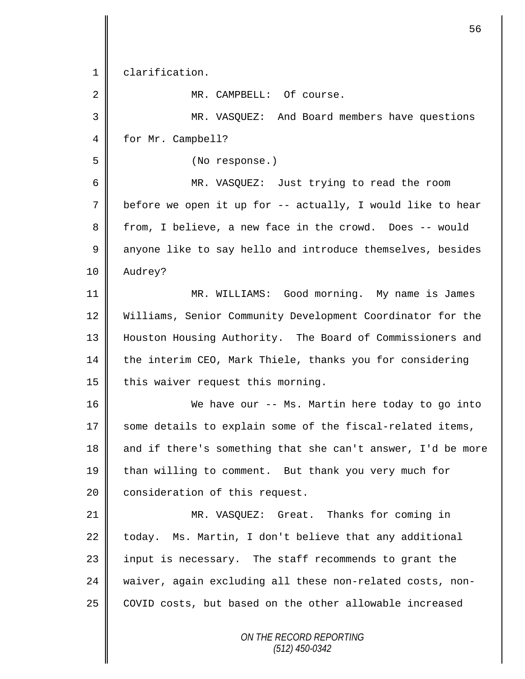*ON THE RECORD REPORTING (512) 450-0342* 1 clarification. 2 MR. CAMPBELL: Of course. 3 MR. VASQUEZ: And Board members have questions 4 for Mr. Campbell? 5 (No response.) 6 MR. VASQUEZ: Just trying to read the room 7 before we open it up for -- actually, I would like to hear 8 from, I believe, a new face in the crowd. Does -- would 9 anyone like to say hello and introduce themselves, besides 10 Audrey? 11 MR. WILLIAMS: Good morning. My name is James 12 Williams, Senior Community Development Coordinator for the 13 Houston Housing Authority. The Board of Commissioners and 14 the interim CEO, Mark Thiele, thanks you for considering 15  $\parallel$  this waiver request this morning. 16 We have our -- Ms. Martin here today to go into 17 some details to explain some of the fiscal-related items, 18  $\parallel$  and if there's something that she can't answer, I'd be more 19 than willing to comment. But thank you very much for 20 consideration of this request. 21 MR. VASQUEZ: Great. Thanks for coming in 22  $\parallel$  today. Ms. Martin, I don't believe that any additional 23 || input is necessary. The staff recommends to grant the 24 waiver, again excluding all these non-related costs, non-25 COVID costs, but based on the other allowable increased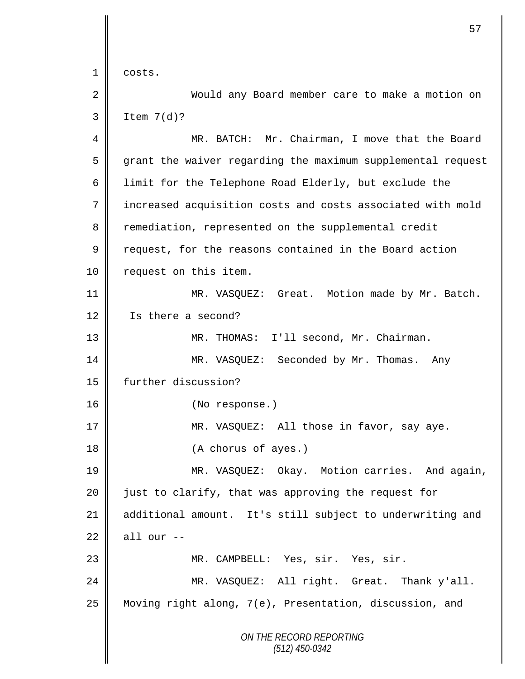*ON THE RECORD REPORTING (512) 450-0342* 1 costs. 2 Would any Board member care to make a motion on  $3 \parallel$  Item  $7(d)?$ 4 MR. BATCH: Mr. Chairman, I move that the Board 5 grant the waiver regarding the maximum supplemental request 6  $\parallel$  limit for the Telephone Road Elderly, but exclude the 7 increased acquisition costs and costs associated with mold 8 Team remediation, represented on the supplemental credit 9 request, for the reasons contained in the Board action 10 | request on this item. 11 MR. VASQUEZ: Great. Motion made by Mr. Batch. 12 Is there a second? 13 MR. THOMAS: I'll second, Mr. Chairman. 14 MR. VASQUEZ: Seconded by Mr. Thomas. Any 15 | further discussion? 16 || (No response.) 17 || MR. VASQUEZ: All those in favor, say aye. 18 || (A chorus of ayes.) 19 MR. VASQUEZ: Okay. Motion carries. And again, 20 just to clarify, that was approving the request for 21 additional amount. It's still subject to underwriting and  $22$  all our  $-$ 23 MR. CAMPBELL: Yes, sir. Yes, sir. 24 MR. VASQUEZ: All right. Great. Thank y'all. 25 Moving right along, 7(e), Presentation, discussion, and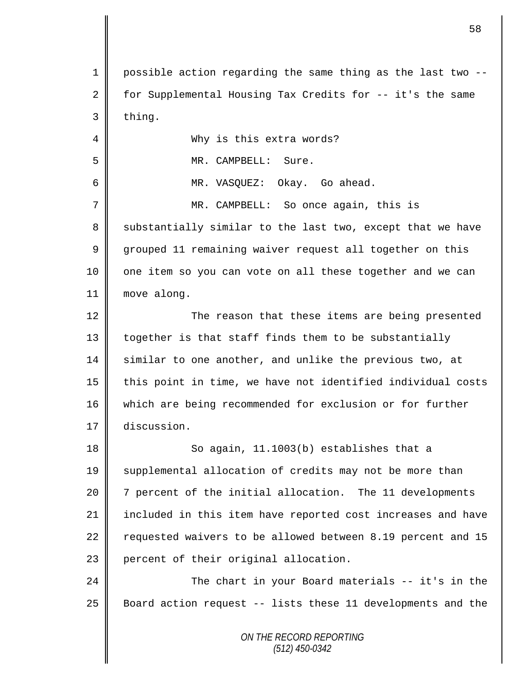*ON THE RECORD REPORTING* 1 possible action regarding the same thing as the last two -- 2  $\parallel$  for Supplemental Housing Tax Credits for -- it's the same  $3$  thing. 4 Why is this extra words? 5 || MR. CAMPBELL: Sure. 6 MR. VASQUEZ: Okay. Go ahead. 7 MR. CAMPBELL: So once again, this is 8 Substantially similar to the last two, except that we have 9 grouped 11 remaining waiver request all together on this 10 || one item so you can vote on all these together and we can 11 | move along. 12 The reason that these items are being presented 13 | together is that staff finds them to be substantially 14 similar to one another, and unlike the previous two, at  $15$  | this point in time, we have not identified individual costs 16 which are being recommended for exclusion or for further 17 discussion. 18 || So again, 11.1003(b) establishes that a 19 Supplemental allocation of credits may not be more than 20 7 percent of the initial allocation. The 11 developments 21 included in this item have reported cost increases and have 22  $\parallel$  requested waivers to be allowed between 8.19 percent and 15 23 | percent of their original allocation. 24 The chart in your Board materials -- it's in the 25 Board action request -- lists these 11 developments and the

*(512) 450-0342*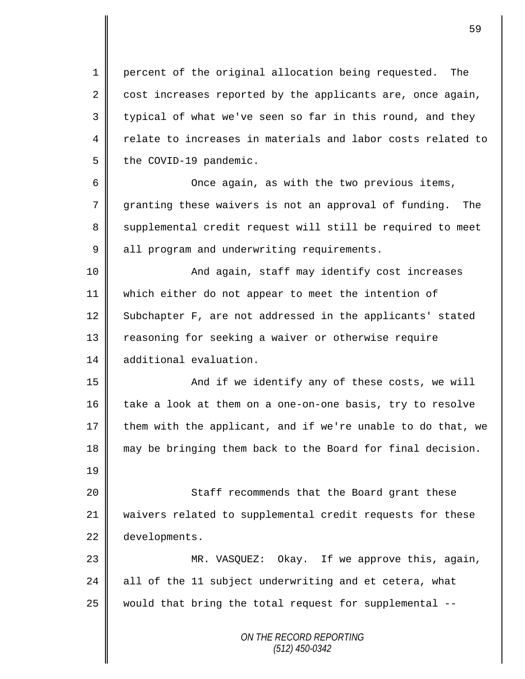1 percent of the original allocation being requested. The 2 cost increases reported by the applicants are, once again,  $3 \parallel$  typical of what we've seen so far in this round, and they 4 relate to increases in materials and labor costs related to  $5 \parallel$  the COVID-19 pandemic.

6 || Once again, as with the two previous items, 7 granting these waivers is not an approval of funding. The 8 || supplemental credit request will still be required to meet 9 all program and underwriting requirements.

10 || And again, staff may identify cost increases 11 which either do not appear to meet the intention of 12 Subchapter F, are not addressed in the applicants' stated 13 Teasoning for seeking a waiver or otherwise require 14 additional evaluation.

15 || And if we identify any of these costs, we will  $\parallel$  take a look at them on a one-on-one basis, try to resolve  $\parallel$  them with the applicant, and if we're unable to do that, we may be bringing them back to the Board for final decision.

20 || Staff recommends that the Board grant these 21 waivers related to supplemental credit requests for these 22 developments.

19

23 MR. VASQUEZ: Okay. If we approve this, again, 24 all of the 11 subject underwriting and et cetera, what  $25$  would that bring the total request for supplemental  $-$ 

> *ON THE RECORD REPORTING (512) 450-0342*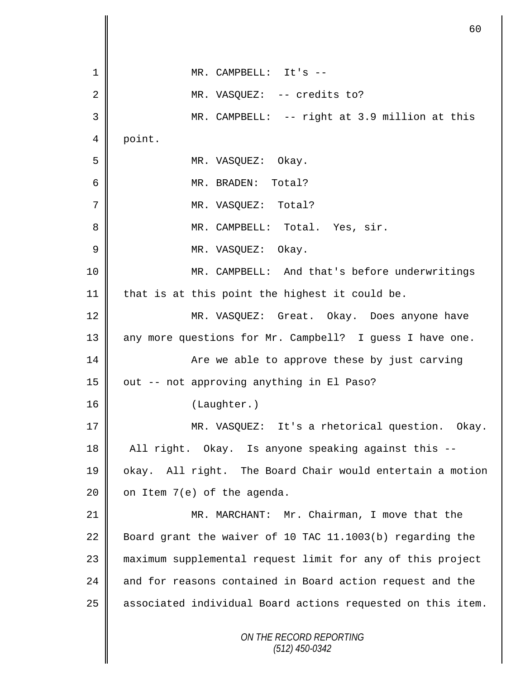|                | 60                                                          |  |
|----------------|-------------------------------------------------------------|--|
|                |                                                             |  |
| $\mathbf 1$    | MR. CAMPBELL: It's --                                       |  |
| 2              | MR. VASQUEZ: -- credits to?                                 |  |
| 3              | MR. CAMPBELL: -- right at 3.9 million at this               |  |
| 4              | point.                                                      |  |
| 5              | MR. VASQUEZ: Okay.                                          |  |
| 6              | MR. BRADEN: Total?                                          |  |
| $\overline{7}$ | MR. VASQUEZ: Total?                                         |  |
| 8              | MR. CAMPBELL: Total. Yes, sir.                              |  |
| $\overline{9}$ | MR. VASQUEZ: Okay.                                          |  |
| 10             | MR. CAMPBELL: And that's before underwritings               |  |
| 11             | that is at this point the highest it could be.              |  |
| 12             | MR. VASQUEZ: Great. Okay. Does anyone have                  |  |
| 13             | any more questions for Mr. Campbell? I guess I have one.    |  |
| 14             | Are we able to approve these by just carving                |  |
| 15             | out -- not approving anything in El Paso?                   |  |
| 16             | (Laughter.)                                                 |  |
| 17             | MR. VASQUEZ: It's a rhetorical question. Okay.              |  |
| 18             | All right. Okay. Is anyone speaking against this --         |  |
| 19             | okay. All right. The Board Chair would entertain a motion   |  |
| 20             | on Item 7(e) of the agenda.                                 |  |
| 21             | MR. MARCHANT: Mr. Chairman, I move that the                 |  |
| 22             | Board grant the waiver of 10 TAC 11.1003(b) regarding the   |  |
| 23             | maximum supplemental request limit for any of this project  |  |
| 24             | and for reasons contained in Board action request and the   |  |
| 25             | associated individual Board actions requested on this item. |  |
|                | ON THE RECORD REPORTING<br>$(512)$ 450-0342                 |  |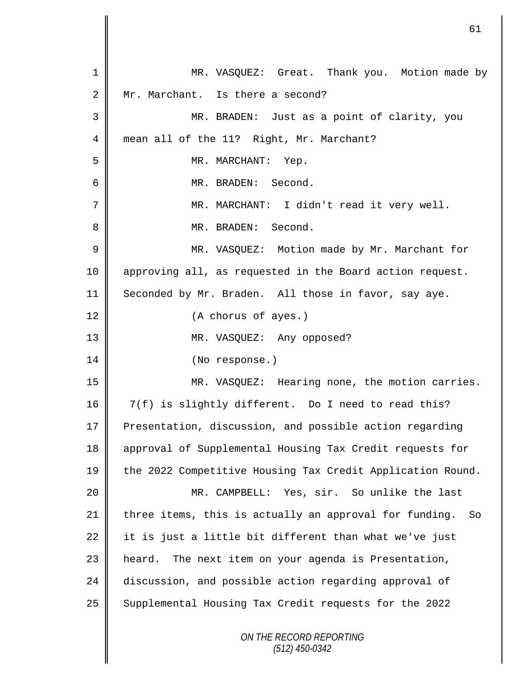*ON THE RECORD REPORTING (512) 450-0342* 1 MR. VASQUEZ: Great. Thank you. Motion made by 2 Mr. Marchant. Is there a second? 3 MR. BRADEN: Just as a point of clarity, you 4 mean all of the 11? Right, Mr. Marchant? 5 || MR. MARCHANT: Yep. 6 MR. BRADEN: Second. 7 MR. MARCHANT: I didn't read it very well. 8 MR. BRADEN: Second. 9 || MR. VASQUEZ: Motion made by Mr. Marchant for 10 approving all, as requested in the Board action request. 11 Seconded by Mr. Braden. All those in favor, say aye. 12 (A chorus of ayes.) 13 || MR. VASQUEZ: Any opposed? 14 || (No response.) 15 MR. VASQUEZ: Hearing none, the motion carries. 16 | 7(f) is slightly different. Do I need to read this? 17 Presentation, discussion, and possible action regarding 18 approval of Supplemental Housing Tax Credit requests for 19 the 2022 Competitive Housing Tax Credit Application Round. 20 MR. CAMPBELL: Yes, sir. So unlike the last  $21$  three items, this is actually an approval for funding. So 22 it is just a little bit different than what we've just 23 | heard. The next item on your agenda is Presentation, 24 discussion, and possible action regarding approval of 25 Supplemental Housing Tax Credit requests for the 2022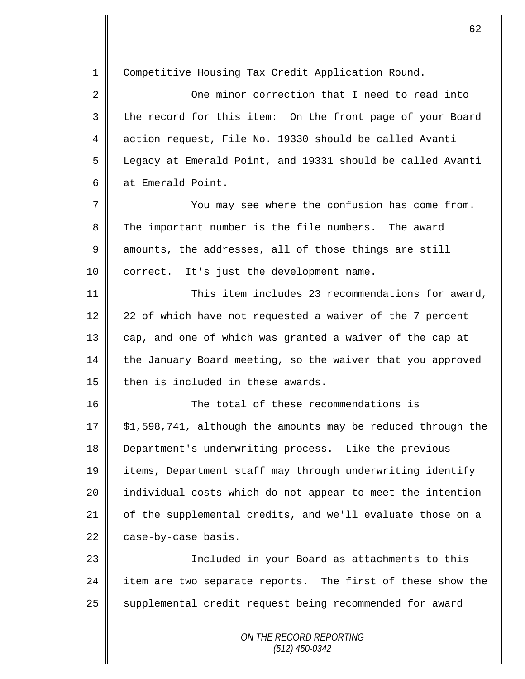*ON THE RECORD REPORTING* 1 Competitive Housing Tax Credit Application Round. 2 | Cone minor correction that I need to read into 3 the record for this item: On the front page of your Board 4 action request, File No. 19330 should be called Avanti 5 Legacy at Emerald Point, and 19331 should be called Avanti 6 at Emerald Point. 7 You may see where the confusion has come from. 8 The important number is the file numbers. The award  $9 \parallel$  amounts, the addresses, all of those things are still 10 | correct. It's just the development name. 11  $\parallel$  This item includes 23 recommendations for award, 12  $\parallel$  22 of which have not requested a waiver of the 7 percent 13 cap, and one of which was granted a waiver of the cap at 14 the January Board meeting, so the waiver that you approved 15 then is included in these awards. 16 The total of these recommendations is 17  $\parallel$  \$1,598,741, although the amounts may be reduced through the 18 Department's underwriting process. Like the previous 19 items, Department staff may through underwriting identify 20 | individual costs which do not appear to meet the intention 21 of the supplemental credits, and we'll evaluate those on a  $22$  case-by-case basis. 23 || Included in your Board as attachments to this 24  $\parallel$  item are two separate reports. The first of these show the 25 | supplemental credit request being recommended for award

*(512) 450-0342*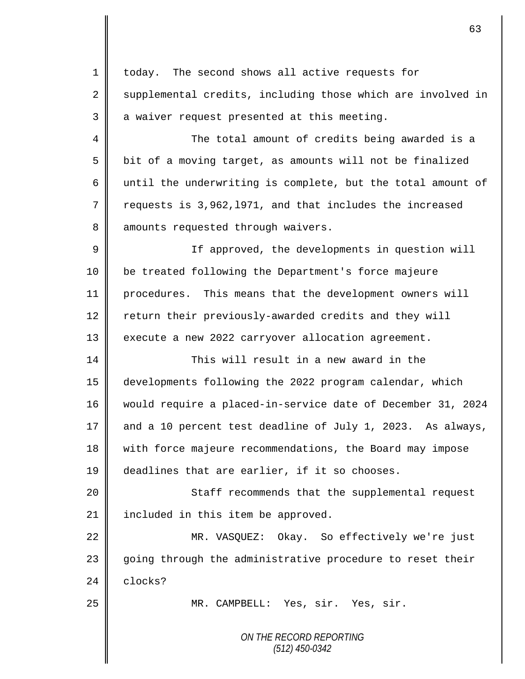| $\mathbf{1}$ | today. The second shows all active requests for             |  |  |  |
|--------------|-------------------------------------------------------------|--|--|--|
| 2            | supplemental credits, including those which are involved in |  |  |  |
| 3            | a waiver request presented at this meeting.                 |  |  |  |
| 4            | The total amount of credits being awarded is a              |  |  |  |
| 5            | bit of a moving target, as amounts will not be finalized    |  |  |  |
| 6            | until the underwriting is complete, but the total amount of |  |  |  |
| 7            | requests is 3,962,1971, and that includes the increased     |  |  |  |
| 8            | amounts requested through waivers.                          |  |  |  |
| $\mathsf 9$  | If approved, the developments in question will              |  |  |  |
| 10           | be treated following the Department's force majeure         |  |  |  |
| 11           | procedures. This means that the development owners will     |  |  |  |
| 12           | return their previously-awarded credits and they will       |  |  |  |
| 13           | execute a new 2022 carryover allocation agreement.          |  |  |  |
| 14           | This will result in a new award in the                      |  |  |  |
| 15           | developments following the 2022 program calendar, which     |  |  |  |
| 16           | would require a placed-in-service date of December 31, 2024 |  |  |  |
| 17           | and a 10 percent test deadline of July 1, 2023. As always,  |  |  |  |
| 18           | with force majeure recommendations, the Board may impose    |  |  |  |
| 19           | deadlines that are earlier, if it so chooses.               |  |  |  |
| 20           | Staff recommends that the supplemental request              |  |  |  |
| 21           | included in this item be approved.                          |  |  |  |
| 22           | MR. VASQUEZ: Okay. So effectively we're just                |  |  |  |
| 23           | going through the administrative procedure to reset their   |  |  |  |
| 24           | clocks?                                                     |  |  |  |
| 25           | MR. CAMPBELL: Yes, sir. Yes, sir.                           |  |  |  |
|              | ON THE RECORD REPORTING<br>$(512)$ 450-0342                 |  |  |  |

 $\mathbf l$ 

║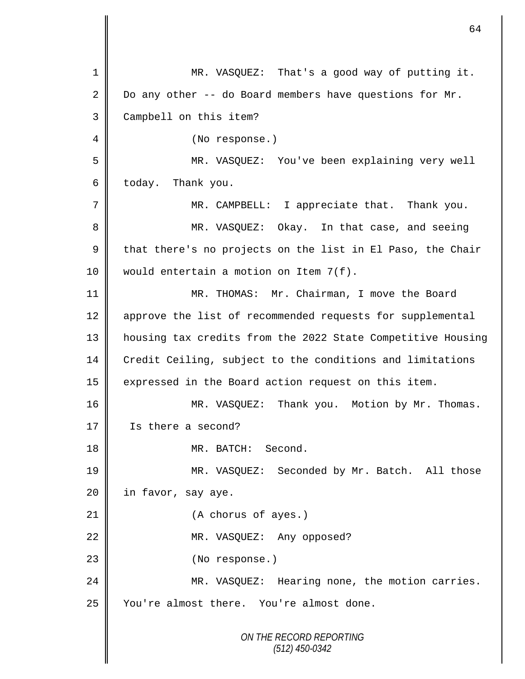*ON THE RECORD REPORTING (512) 450-0342* 1 MR. VASQUEZ: That's a good way of putting it. 2 Do any other -- do Board members have questions for Mr. 3 Campbell on this item? 4 || (No response.) 5 MR. VASQUEZ: You've been explaining very well  $6 \parallel$  today. Thank you. 7 || MR. CAMPBELL: I appreciate that. Thank you. 8 MR. VASQUEZ: Okay. In that case, and seeing  $9 \parallel$  that there's no projects on the list in El Paso, the Chair 10 | would entertain a motion on Item 7(f). 11 MR. THOMAS: Mr. Chairman, I move the Board 12 | approve the list of recommended requests for supplemental 13 housing tax credits from the 2022 State Competitive Housing 14 Credit Ceiling, subject to the conditions and limitations 15 | expressed in the Board action request on this item. 16 MR. VASQUEZ: Thank you. Motion by Mr. Thomas. 17 Is there a second? 18 NR. BATCH: Second. 19 MR. VASQUEZ: Seconded by Mr. Batch. All those 20 | in favor, say aye. 21 | (A chorus of ayes.) 22 MR. VASQUEZ: Any opposed? 23 || (No response.) 24 MR. VASQUEZ: Hearing none, the motion carries. 25 Vou're almost there. You're almost done.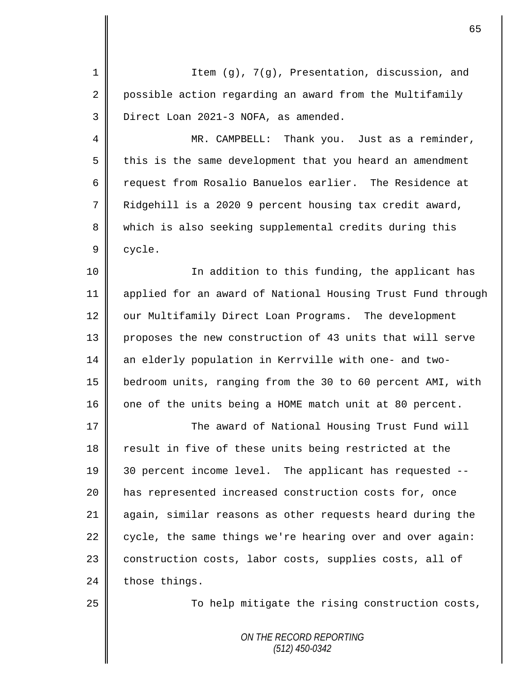| $\mathbf 1$    | Item (g), 7(g), Presentation, discussion, and               |  |  |  |
|----------------|-------------------------------------------------------------|--|--|--|
| $\overline{2}$ | possible action regarding an award from the Multifamily     |  |  |  |
| 3              | Direct Loan 2021-3 NOFA, as amended.                        |  |  |  |
| 4              | MR. CAMPBELL: Thank you. Just as a reminder,                |  |  |  |
| 5              | this is the same development that you heard an amendment    |  |  |  |
| 6              | request from Rosalio Banuelos earlier. The Residence at     |  |  |  |
| 7              | Ridgehill is a 2020 9 percent housing tax credit award,     |  |  |  |
| 8              | which is also seeking supplemental credits during this      |  |  |  |
| 9              | cycle.                                                      |  |  |  |
| 10             | In addition to this funding, the applicant has              |  |  |  |
| 11             | applied for an award of National Housing Trust Fund through |  |  |  |
| 12             | our Multifamily Direct Loan Programs. The development       |  |  |  |
| 13             | proposes the new construction of 43 units that will serve   |  |  |  |
| 14             | an elderly population in Kerrville with one- and two-       |  |  |  |
| 15             | bedroom units, ranging from the 30 to 60 percent AMI, with  |  |  |  |
| 16             | one of the units being a HOME match unit at 80 percent.     |  |  |  |
| 17             | The award of National Housing Trust Fund will               |  |  |  |
| 18             | result in five of these units being restricted at the       |  |  |  |
| 19             | 30 percent income level. The applicant has requested --     |  |  |  |
| 20             | has represented increased construction costs for, once      |  |  |  |
| 21             | again, similar reasons as other requests heard during the   |  |  |  |
| 22             | cycle, the same things we're hearing over and over again:   |  |  |  |
| 23             | construction costs, labor costs, supplies costs, all of     |  |  |  |
| 24             | those things.                                               |  |  |  |
| 25             | To help mitigate the rising construction costs,             |  |  |  |
|                |                                                             |  |  |  |
|                | ON THE RECORD REPORTING<br>$(512)$ 450-0342                 |  |  |  |
|                |                                                             |  |  |  |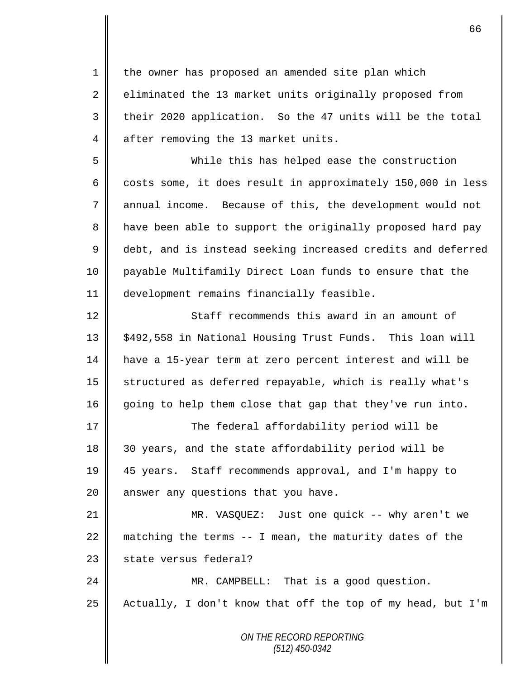1 the owner has proposed an amended site plan which 2 eliminated the 13 market units originally proposed from 3 their 2020 application. So the 47 units will be the total 4 after removing the 13 market units.

5 While this has helped ease the construction 6 costs some, it does result in approximately 150,000 in less 7 annual income. Because of this, the development would not 8 || have been able to support the originally proposed hard pay 9 debt, and is instead seeking increased credits and deferred 10 payable Multifamily Direct Loan funds to ensure that the 11 development remains financially feasible.

12 Staff recommends this award in an amount of 13 | \$492,558 in National Housing Trust Funds. This loan will 14 have a 15-year term at zero percent interest and will be 15 || structured as deferred repayable, which is really what's 16 going to help them close that gap that they've run into.

17 The federal affordability period will be 18 || 30 years, and the state affordability period will be 19 45 years. Staff recommends approval, and I'm happy to 20 answer any questions that you have.

21 MR. VASQUEZ: Just one quick -- why aren't we 22  $\parallel$  matching the terms -- I mean, the maturity dates of the  $23$  | state versus federal?

24 MR. CAMPBELL: That is a good question.  $25$  | Actually, I don't know that off the top of my head, but I'm

> *ON THE RECORD REPORTING (512) 450-0342*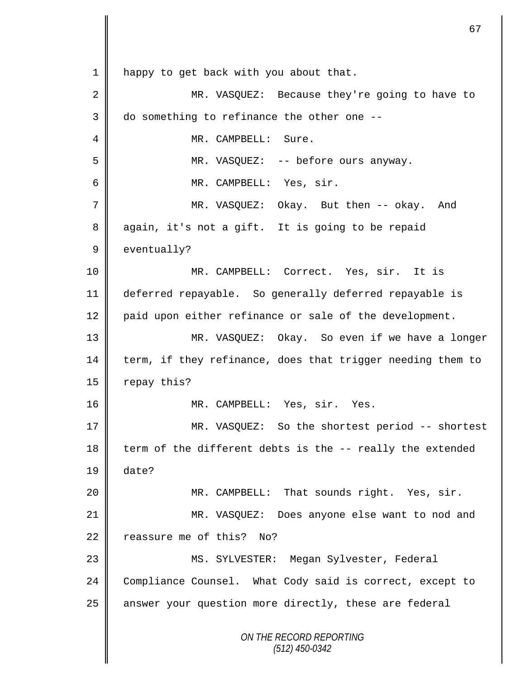*ON THE RECORD REPORTING (512) 450-0342* 1 | happy to get back with you about that. 2 MR. VASQUEZ: Because they're going to have to  $3 \parallel$  do something to refinance the other one --4 MR. CAMPBELL: Sure. 5 MR. VASQUEZ: -- before ours anyway. 6 MR. CAMPBELL: Yes, sir. 7 MR. VASQUEZ: Okay. But then -- okay. And 8 again, it's not a gift. It is going to be repaid 9 eventually? 10 MR. CAMPBELL: Correct. Yes, sir. It is 11 deferred repayable. So generally deferred repayable is 12 | paid upon either refinance or sale of the development. 13 MR. VASQUEZ: Okay. So even if we have a longer 14 term, if they refinance, does that trigger needing them to  $15$  repay this? 16 || MR. CAMPBELL: Yes, sir. Yes. 17 || MR. VASQUEZ: So the shortest period -- shortest 18 term of the different debts is the  $-$ - really the extended 19 date? 20 MR. CAMPBELL: That sounds right. Yes, sir. 21 MR. VASQUEZ: Does anyone else want to nod and 22  $\parallel$  reassure me of this? No? 23 MS. SYLVESTER: Megan Sylvester, Federal 24 Compliance Counsel. What Cody said is correct, except to 25 || answer your question more directly, these are federal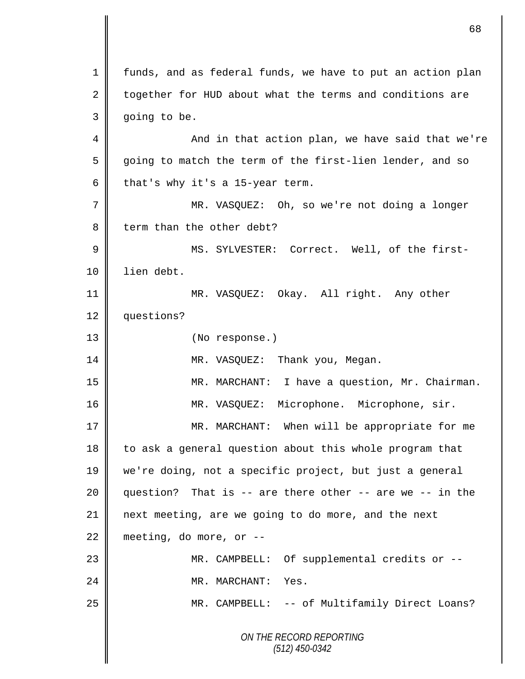*ON THE RECORD REPORTING (512) 450-0342* 1 | funds, and as federal funds, we have to put an action plan  $2 \parallel$  together for HUD about what the terms and conditions are 3 | going to be. 4 And in that action plan, we have said that we're 5 going to match the term of the first-lien lender, and so 6 that's why it's a 15-year term. 7 || MR. VASQUEZ: Oh, so we're not doing a longer  $8 \parallel$  term than the other debt? 9 MS. SYLVESTER: Correct. Well, of the first-10 lien debt. 11 MR. VASQUEZ: Okay. All right. Any other 12 questions? 13 || (No response.) 14 MR. VASQUEZ: Thank you, Megan. 15 MR. MARCHANT: I have a question, Mr. Chairman. 16 | MR. VASQUEZ: Microphone. Microphone, sir. 17 || MR. MARCHANT: When will be appropriate for me 18 | to ask a general question about this whole program that 19 we're doing, not a specific project, but just a general 20  $\parallel$  question? That is -- are there other -- are we -- in the 21 next meeting, are we going to do more, and the next  $22 \parallel$  meeting, do more, or --23 MR. CAMPBELL: Of supplemental credits or -- 24 MR. MARCHANT: Yes. 25 | MR. CAMPBELL: -- of Multifamily Direct Loans?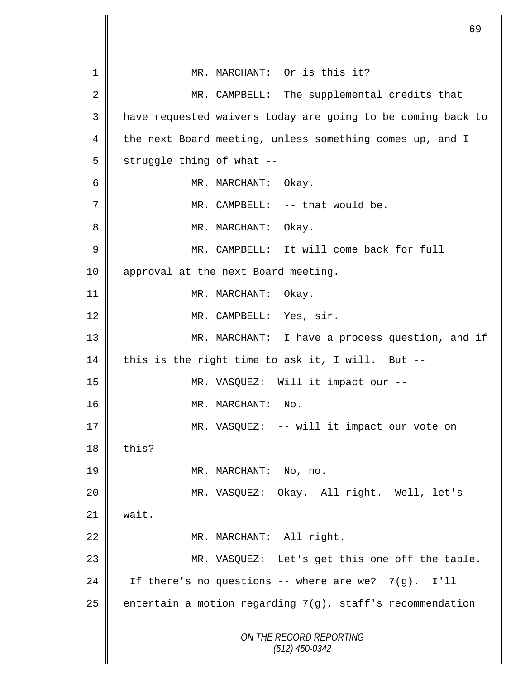|             |                           | 69                                                           |
|-------------|---------------------------|--------------------------------------------------------------|
| 1           |                           | MR. MARCHANT: Or is this it?                                 |
|             |                           |                                                              |
| 2           |                           | MR. CAMPBELL: The supplemental credits that                  |
| 3           |                           | have requested waivers today are going to be coming back to  |
| 4           |                           | the next Board meeting, unless something comes up, and I     |
| 5           | struggle thing of what -- |                                                              |
| 6           |                           | MR. MARCHANT:<br>Okay.                                       |
| 7           |                           | MR. CAMPBELL: -- that would be.                              |
| 8           |                           | MR. MARCHANT: Okay.                                          |
| $\mathsf 9$ |                           | MR. CAMPBELL: It will come back for full                     |
| 10          |                           | approval at the next Board meeting.                          |
| 11          |                           | Okay.<br>MR. MARCHANT:                                       |
| 12          |                           | MR. CAMPBELL: Yes, sir.                                      |
| 13          |                           | MR. MARCHANT: I have a process question, and if              |
| 14          |                           | this is the right time to ask it, I will. But --             |
| 15          |                           | MR. VASQUEZ: Will it impact our --                           |
| 16          |                           | MR. MARCHANT:<br>No.                                         |
| 17          |                           | MR. VASQUEZ: -- will it impact our vote on                   |
| 18          | this?                     |                                                              |
| 19          |                           | MR. MARCHANT: No, no.                                        |
| 20          |                           | MR. VASQUEZ: Okay. All right. Well, let's                    |
| 21          | wait.                     |                                                              |
| 22          |                           | MR. MARCHANT: All right.                                     |
| 23          |                           | MR. VASQUEZ: Let's get this one off the table.               |
| 24          |                           | If there's no questions -- where are we? 7(g). I'll          |
| 25          |                           | entertain a motion regarding $7(g)$ , staff's recommendation |
|             |                           |                                                              |
|             |                           | ON THE RECORD REPORTING<br>$(512)$ 450-0342                  |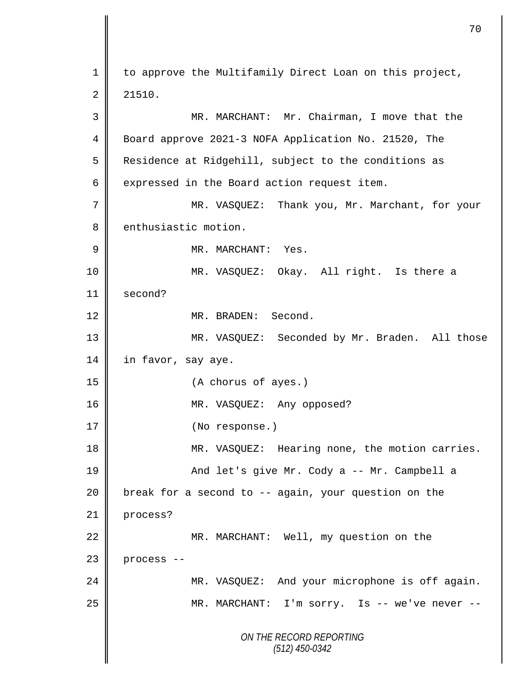*ON THE RECORD REPORTING (512) 450-0342* 1 | to approve the Multifamily Direct Loan on this project,  $2 \parallel 21510.$ 3 MR. MARCHANT: Mr. Chairman, I move that the 4 | Board approve 2021-3 NOFA Application No. 21520, The 5 Residence at Ridgehill, subject to the conditions as  $6 \parallel$  expressed in the Board action request item. 7 || MR. VASQUEZ: Thank you, Mr. Marchant, for your 8 enthusiastic motion. 9 || MR. MARCHANT: Yes. 10 MR. VASQUEZ: Okay. All right. Is there a 11 second? 12 NR. BRADEN: Second. 13 MR. VASQUEZ: Seconded by Mr. Braden. All those 14 | in favor, say aye. 15 (A chorus of ayes.) 16 || MR. VASQUEZ: Any opposed? 17 | (No response.) 18 MR. VASQUEZ: Hearing none, the motion carries. 19 || And let's give Mr. Cody a -- Mr. Campbell a 20  $\parallel$  break for a second to -- again, your question on the 21 process? 22 | MR. MARCHANT: Well, my question on the  $23$  process  $-$ 24 | MR. VASQUEZ: And your microphone is off again. 25 || MR. MARCHANT: I'm sorry. Is -- we've never --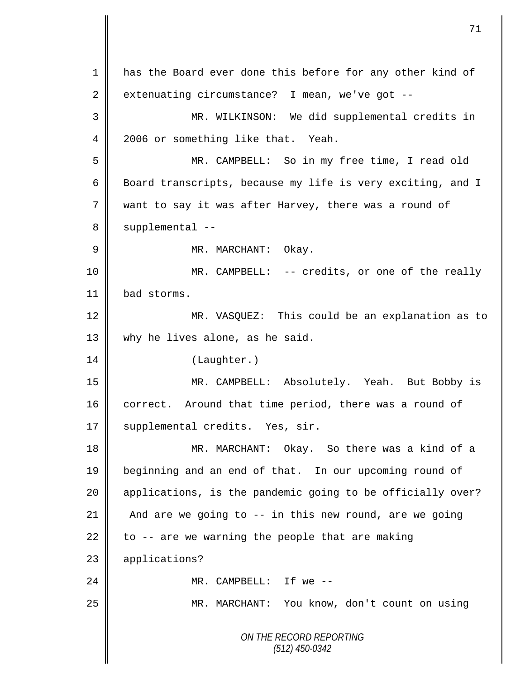*ON THE RECORD REPORTING (512) 450-0342* 1 has the Board ever done this before for any other kind of  $2 \parallel$  extenuating circumstance? I mean, we've got --3 MR. WILKINSON: We did supplemental credits in 4 2006 or something like that. Yeah. 5 MR. CAMPBELL: So in my free time, I read old 6 | Board transcripts, because my life is very exciting, and I 7 want to say it was after Harvey, there was a round of  $8 \parallel$  supplemental --9 MR. MARCHANT: Okay. 10 MR. CAMPBELL: -- credits, or one of the really 11 | bad storms. 12 || MR. VASQUEZ: This could be an explanation as to 13 why he lives alone, as he said. 14 | (Laughter.) 15 MR. CAMPBELL: Absolutely. Yeah. But Bobby is 16 correct. Around that time period, there was a round of 17 | supplemental credits. Yes, sir. 18 MR. MARCHANT: Okay. So there was a kind of a 19 beginning and an end of that. In our upcoming round of 20 | applications, is the pandemic going to be officially over? 21 And are we going to -- in this new round, are we going 22 to  $-$  are we warning the people that are making 23 applications? 24  $\parallel$  MR. CAMPBELL: If we --25 MR. MARCHANT: You know, don't count on using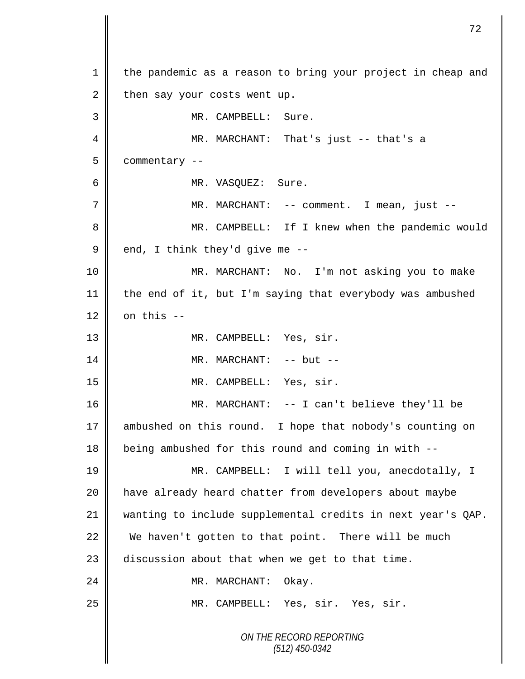*ON THE RECORD REPORTING (512) 450-0342* 1 | the pandemic as a reason to bring your project in cheap and  $2 \parallel$  then say your costs went up. 3 || MR. CAMPBELL: Sure. MR. MARCHANT: That's just -- that's a commentary -- MR. VASQUEZ: Sure. MR. MARCHANT: -- comment. I mean, just -- MR. CAMPBELL: If I knew when the pandemic would  $9 \parallel$  end, I think they'd give me -- MR. MARCHANT: No. I'm not asking you to make the end of it, but I'm saying that everybody was ambushed  $\parallel$  on this --13 || MR. CAMPBELL: Yes, sir. MR. MARCHANT: -- but -- MR. CAMPBELL: Yes, sir. 16 || MR. MARCHANT: -- I can't believe they'll be ambushed on this round. I hope that nobody's counting on being ambushed for this round and coming in with -- MR. CAMPBELL: I will tell you, anecdotally, I have already heard chatter from developers about maybe wanting to include supplemental credits in next year's QAP. 22 We haven't gotten to that point. There will be much discussion about that when we get to that time. 24 | MR. MARCHANT: Okay. 25 || MR. CAMPBELL: Yes, sir. Yes, sir.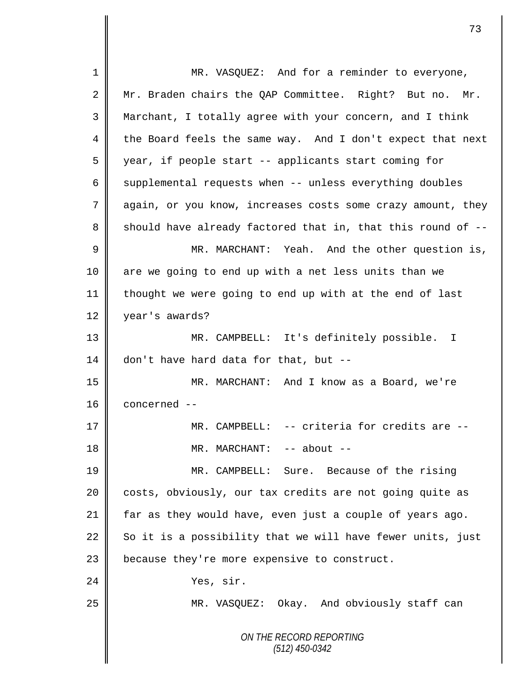*ON THE RECORD REPORTING (512) 450-0342* 1 MR. VASQUEZ: And for a reminder to everyone, 2 || Mr. Braden chairs the QAP Committee. Right? But no. Mr. 3 Marchant, I totally agree with your concern, and I think  $4 \parallel$  the Board feels the same way. And I don't expect that next 5 year, if people start -- applicants start coming for 6  $\parallel$  supplemental requests when -- unless everything doubles 7 aqain, or you know, increases costs some crazy amount, they 8 Should have already factored that in, that this round of  $-$ -9 MR. MARCHANT: Yeah. And the other question is, 10 || are we going to end up with a net less units than we 11 thought we were going to end up with at the end of last 12 vear's awards? 13 MR. CAMPBELL: It's definitely possible. I 14 don't have hard data for that, but  $-$ 15 MR. MARCHANT: And I know as a Board, we're 16 concerned -- 17 MR. CAMPBELL: -- criteria for credits are -- 18 || MR. MARCHANT: -- about --19 MR. CAMPBELL: Sure. Because of the rising 20 || costs, obviously, our tax credits are not going quite as 21 far as they would have, even just a couple of years ago. 22  $\parallel$  So it is a possibility that we will have fewer units, just  $23$  | because they're more expensive to construct. 24 Nes, sir. 25 MR. VASQUEZ: Okay. And obviously staff can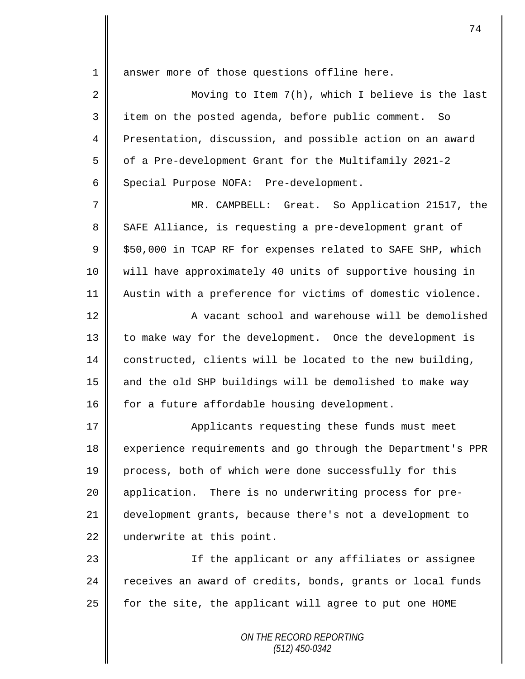1 || answer more of those questions offline here.

2 || Moving to Item 7(h), which I believe is the last 3 item on the posted agenda, before public comment. So 4 Presentation, discussion, and possible action on an award 5 | of a Pre-development Grant for the Multifamily 2021-2 6 Special Purpose NOFA: Pre-development.

7 MR. CAMPBELL: Great. So Application 21517, the 8 SAFE Alliance, is requesting a pre-development grant of  $9 \parallel$  \$50,000 in TCAP RF for expenses related to SAFE SHP, which 10 will have approximately 40 units of supportive housing in 11 || Austin with a preference for victims of domestic violence.

12 || A vacant school and warehouse will be demolished 13 | to make way for the development. Once the development is 14 constructed, clients will be located to the new building, 15  $\parallel$  and the old SHP buildings will be demolished to make way 16  $\parallel$  for a future affordable housing development.

17 | Applicants requesting these funds must meet 18 experience requirements and go through the Department's PPR 19 process, both of which were done successfully for this 20 | application. There is no underwriting process for pre-21 development grants, because there's not a development to 22 underwrite at this point.

23 || If the applicant or any affiliates or assignee 24 receives an award of credits, bonds, grants or local funds  $25$  for the site, the applicant will agree to put one HOME

> *ON THE RECORD REPORTING (512) 450-0342*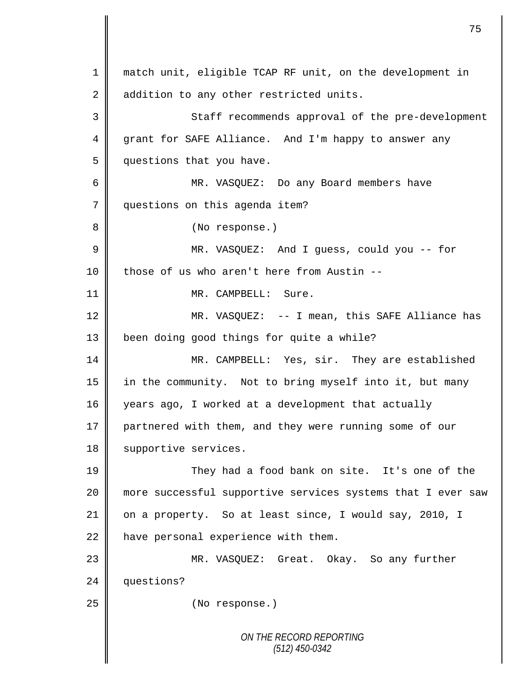*ON THE RECORD REPORTING (512) 450-0342* 1 || match unit, eligible TCAP RF unit, on the development in 2 addition to any other restricted units. 3 Staff recommends approval of the pre-development 4 grant for SAFE Alliance. And I'm happy to answer any 5 | questions that you have. 6 MR. VASQUEZ: Do any Board members have 7 questions on this agenda item? 8 || (No response.) 9 MR. VASQUEZ: And I guess, could you -- for  $10$  | those of us who aren't here from Austin --11 || MR. CAMPBELL: Sure. 12 MR. VASQUEZ: -- I mean, this SAFE Alliance has 13 | been doing good things for quite a while? 14 MR. CAMPBELL: Yes, sir. They are established 15 || in the community. Not to bring myself into it, but many 16 years ago, I worked at a development that actually 17 partnered with them, and they were running some of our 18 | supportive services. 19 They had a food bank on site. It's one of the 20 more successful supportive services systems that I ever saw 21  $\parallel$  on a property. So at least since, I would say, 2010, I  $22$  | have personal experience with them. 23 MR. VASQUEZ: Great. Okay. So any further 24 questions? 25 No response.)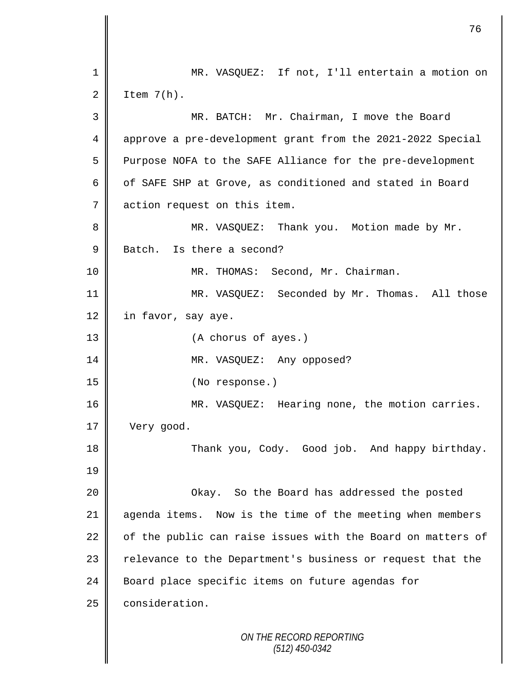|                | 76                                                          |
|----------------|-------------------------------------------------------------|
| 1              | MR. VASQUEZ: If not, I'll entertain a motion on             |
| 2              | Item $7(h)$ .                                               |
| 3              | MR. BATCH: Mr. Chairman, I move the Board                   |
| 4              | approve a pre-development grant from the 2021-2022 Special  |
| 5              | Purpose NOFA to the SAFE Alliance for the pre-development   |
| 6              | of SAFE SHP at Grove, as conditioned and stated in Board    |
| $\overline{7}$ | action request on this item.                                |
| 8              | MR. VASQUEZ: Thank you. Motion made by Mr.                  |
| $\mathsf 9$    | Batch. Is there a second?                                   |
| 10             | MR. THOMAS: Second, Mr. Chairman.                           |
| 11             | MR. VASQUEZ: Seconded by Mr. Thomas. All those              |
| 12             | in favor, say aye.                                          |
| 13             | (A chorus of ayes.)                                         |
| 14             | MR. VASQUEZ: Any opposed?                                   |
| 15             | (No response.)                                              |
| 16             | MR. VASQUEZ: Hearing none, the motion carries.              |
| 17             | Very good.                                                  |
| 18             | Thank you, Cody. Good job. And happy birthday.              |
| 19             |                                                             |
| 20             | Okay. So the Board has addressed the posted                 |
| 21             | agenda items. Now is the time of the meeting when members   |
| 22             | of the public can raise issues with the Board on matters of |
| 23             | relevance to the Department's business or request that the  |
| 24             | Board place specific items on future agendas for            |
| 25             | consideration.                                              |
|                | ON THE RECORD REPORTING<br>$(512)$ 450-0342                 |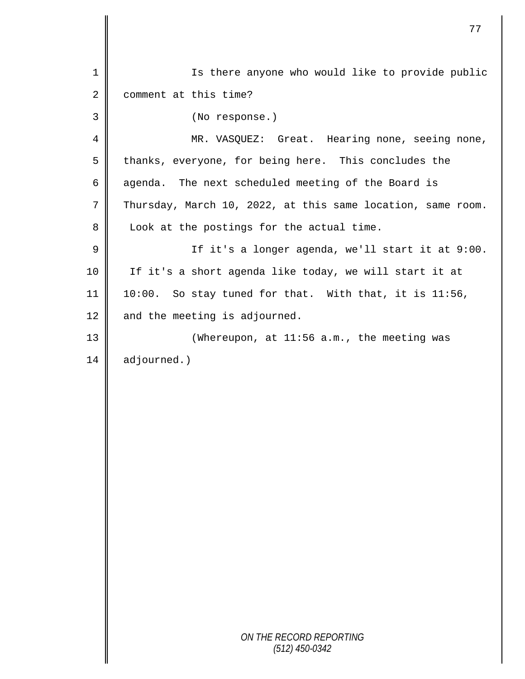| $\mathbf 1$ | Is there anyone who would like to provide public            |
|-------------|-------------------------------------------------------------|
| $\sqrt{2}$  | comment at this time?                                       |
| 3           | (No response.)                                              |
| 4           | MR. VASQUEZ: Great. Hearing none, seeing none,              |
| 5           | thanks, everyone, for being here. This concludes the        |
| 6           | agenda. The next scheduled meeting of the Board is          |
| 7           | Thursday, March 10, 2022, at this same location, same room. |
| 8           | Look at the postings for the actual time.                   |
| $\mathsf 9$ | If it's a longer agenda, we'll start it at 9:00.            |
| 10          | If it's a short agenda like today, we will start it at      |
| 11          | 10:00. So stay tuned for that. With that, it is 11:56,      |
| 12          | and the meeting is adjourned.                               |
| 13          | (Whereupon, at 11:56 a.m., the meeting was                  |
| 14          | adjourned.)                                                 |
|             |                                                             |
|             |                                                             |
|             |                                                             |
|             |                                                             |
|             |                                                             |
|             |                                                             |
|             |                                                             |
|             |                                                             |
|             |                                                             |
|             |                                                             |
|             |                                                             |
|             | ON THE RECORD REPORTING<br>$(512)$ 450-0342                 |
|             |                                                             |

 $\mathbf l$ II